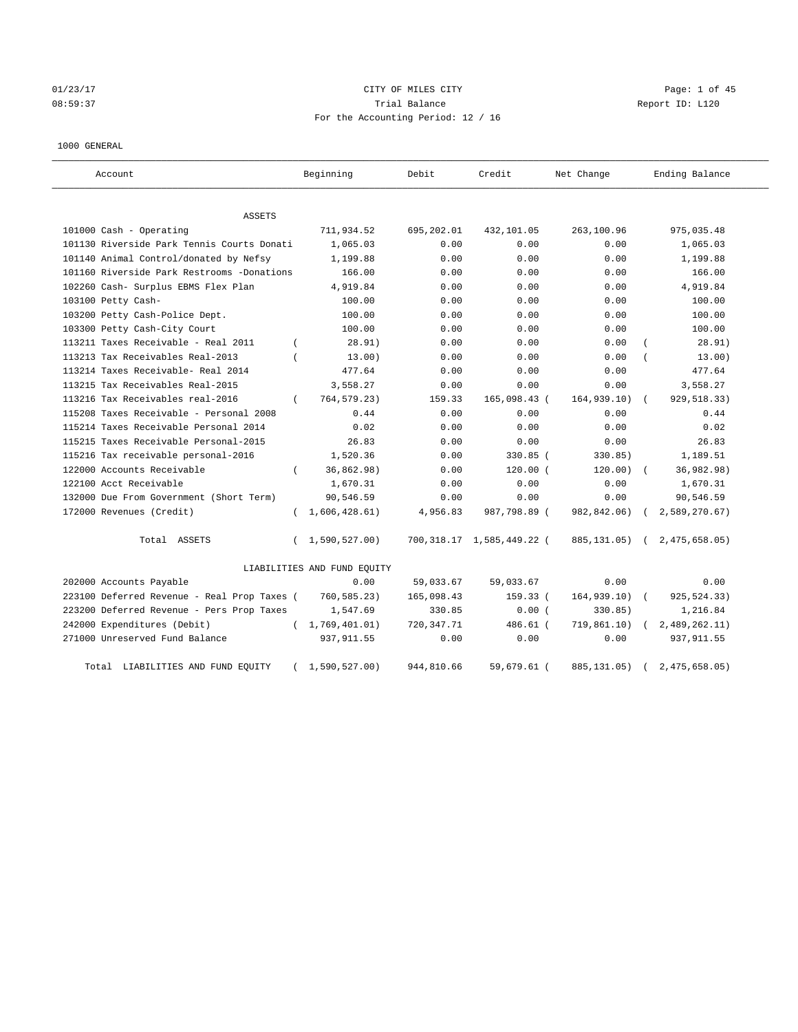# 01/23/17 Page: 1 of 45 08:59:37 Trial Balance Report ID: L120 For the Accounting Period: 12 / 16

## 1000 GENERAL

| Account                                     |          | Beginning                   | Debit        | Credit                    | Net Change   | Ending Balance |
|---------------------------------------------|----------|-----------------------------|--------------|---------------------------|--------------|----------------|
| <b>ASSETS</b>                               |          |                             |              |                           |              |                |
| 101000 Cash - Operating                     |          | 711,934.52                  | 695,202.01   | 432,101.05                | 263,100.96   | 975,035.48     |
| 101130 Riverside Park Tennis Courts Donati  |          | 1,065.03                    | 0.00         | 0.00                      | 0.00         | 1,065.03       |
| 101140 Animal Control/donated by Nefsy      |          | 1,199.88                    | 0.00         | 0.00                      | 0.00         | 1,199.88       |
| 101160 Riverside Park Restrooms -Donations  |          | 166.00                      | 0.00         | 0.00                      | 0.00         | 166.00         |
| 102260 Cash- Surplus EBMS Flex Plan         |          | 4,919.84                    | 0.00         | 0.00                      | 0.00         | 4,919.84       |
| 103100 Petty Cash-                          |          | 100.00                      | 0.00         | 0.00                      | 0.00         | 100.00         |
| 103200 Petty Cash-Police Dept.              |          | 100.00                      | 0.00         | 0.00                      | 0.00         | 100.00         |
| 103300 Petty Cash-City Court                |          | 100.00                      | 0.00         | 0.00                      | 0.00         | 100.00         |
| 113211 Taxes Receivable - Real 2011         | $\left($ | 28.91)                      | 0.00         | 0.00                      | 0.00         | 28.91)         |
| 113213 Tax Receivables Real-2013            |          | 13.00)                      | 0.00         | 0.00                      | 0.00         | 13.00)         |
| 113214 Taxes Receivable- Real 2014          |          | 477.64                      | 0.00         | 0.00                      | 0.00         | 477.64         |
| 113215 Tax Receivables Real-2015            |          | 3,558.27                    | 0.00         | 0.00                      | 0.00         | 3,558.27       |
| 113216 Tax Receivables real-2016            | $\left($ | 764,579.23)                 | 159.33       | 165,098.43 (              | 164, 939.10) | 929,518.33)    |
| 115208 Taxes Receivable - Personal 2008     |          | 0.44                        | 0.00         | 0.00                      | 0.00         | 0.44           |
| 115214 Taxes Receivable Personal 2014       |          | 0.02                        | 0.00         | 0.00                      | 0.00         | 0.02           |
| 115215 Taxes Receivable Personal-2015       |          | 26.83                       | 0.00         | 0.00                      | 0.00         | 26.83          |
| 115216 Tax receivable personal-2016         |          | 1,520.36                    | 0.00         | $330.85$ (                | 330.85)      | 1,189.51       |
| 122000 Accounts Receivable                  |          | 36,862.98)                  | 0.00         | $120.00$ (                | 120.00)      | 36,982.98)     |
| 122100 Acct Receivable                      |          | 1,670.31                    | 0.00         | 0.00                      | 0.00         | 1,670.31       |
| 132000 Due From Government (Short Term)     |          | 90,546.59                   | 0.00         | 0.00                      | 0.00         | 90,546.59      |
| 172000 Revenues (Credit)                    | $\left($ | 1,606,428.61)               | 4,956.83     | 987,798.89 (              | 982,842.06)  | 2,589,270.67)  |
| Total ASSETS                                | $\left($ | 1,590,527.00)               |              | 700,318.17 1,585,449.22 ( | 885, 131.05) | 2,475,658.05   |
|                                             |          | LIABILITIES AND FUND EQUITY |              |                           |              |                |
| 202000 Accounts Payable                     |          | 0.00                        | 59,033.67    | 59,033.67                 | 0.00         | 0.00           |
| 223100 Deferred Revenue - Real Prop Taxes ( |          | 760,585.23)                 | 165,098.43   | 159.33 (                  | 164, 939.10  | 925,524.33)    |
| 223200 Deferred Revenue - Pers Prop Taxes   |          | 1,547.69                    | 330.85       | 0.00(                     | 330.85)      | 1,216.84       |
| 242000 Expenditures (Debit)                 |          | (1, 769, 401.01)            | 720, 347. 71 | 486.61 (                  | 719,861.10)  | 2,489,262.11)  |
| 271000 Unreserved Fund Balance              |          | 937, 911.55                 | 0.00         | 0.00                      | 0.00         | 937, 911.55    |
| Total LIABILITIES AND FUND EQUITY           |          | 1,590,527.00)               | 944,810.66   | 59,679.61 (               | 885, 131.05) | 2,475,658.05   |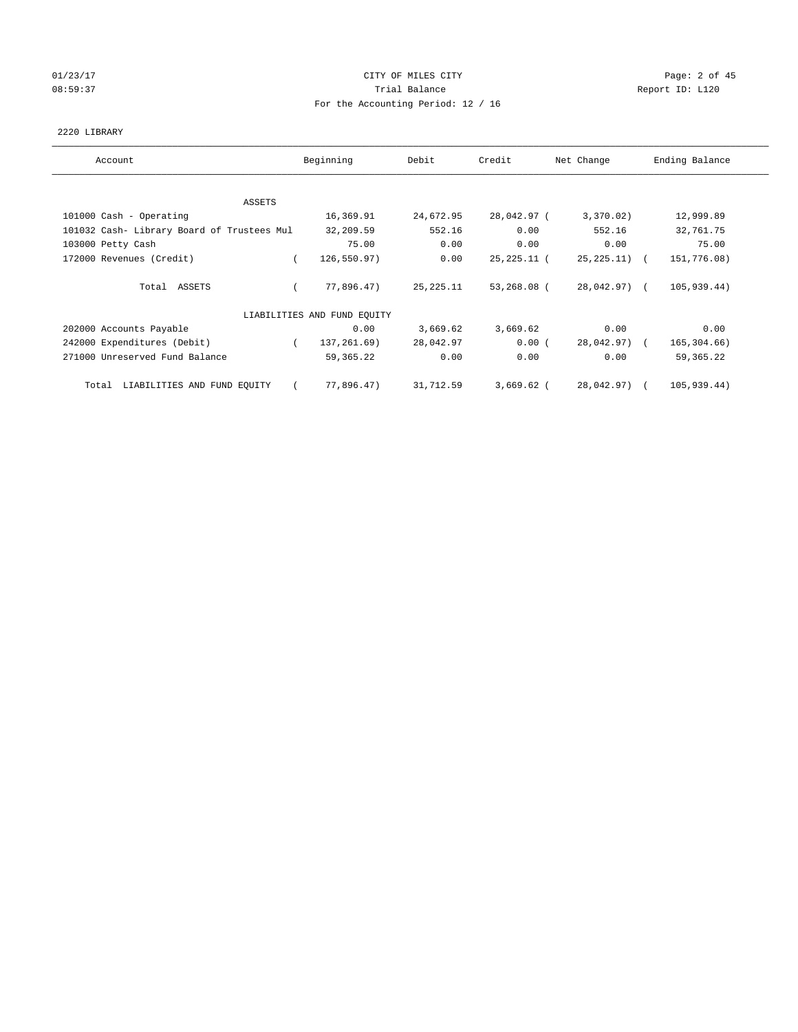# 01/23/17 Page: 2 of 45 08:59:37 Trial Balance Report ID: L120 For the Accounting Period: 12 / 16

## 2220 LIBRARY

| Account                                    | Beginning                   | Debit       | Credit      | Net Change       | Ending Balance |
|--------------------------------------------|-----------------------------|-------------|-------------|------------------|----------------|
| <b>ASSETS</b>                              |                             |             |             |                  |                |
| 101000 Cash - Operating                    | 16,369.91                   | 24,672.95   | 28,042.97 ( | 3,370.02)        | 12,999.89      |
| 101032 Cash- Library Board of Trustees Mul | 32,209.59                   | 552.16      | 0.00        | 552.16           | 32,761.75      |
| 103000 Petty Cash                          | 75.00                       | 0.00        | 0.00        | 0.00             | 75.00          |
| 172000 Revenues (Credit)                   | 126,550.97)                 | 0.00        | 25,225.11 ( | $25, 225, 11)$ ( | 151,776.08)    |
| Total ASSETS                               | 77,896.47)                  | 25, 225. 11 | 53,268.08 ( | 28,042.97) (     | 105,939.44)    |
|                                            | LIABILITIES AND FUND EQUITY |             |             |                  |                |
| 202000 Accounts Payable                    | 0.00                        | 3,669.62    | 3,669.62    | 0.00             | 0.00           |
| 242000 Expenditures (Debit)                | 137, 261.69)<br>$\left($    | 28,042.97   | 0.00(       | 28,042.97) (     | 165,304.66)    |
| 271000 Unreserved Fund Balance             | 59,365.22                   | 0.00        | 0.00        | 0.00             | 59, 365. 22    |
| Total LIABILITIES AND FUND EQUITY          | 77,896.47)                  | 31,712.59   | 3,669.62 (  | 28,042.97) (     | 105,939.44)    |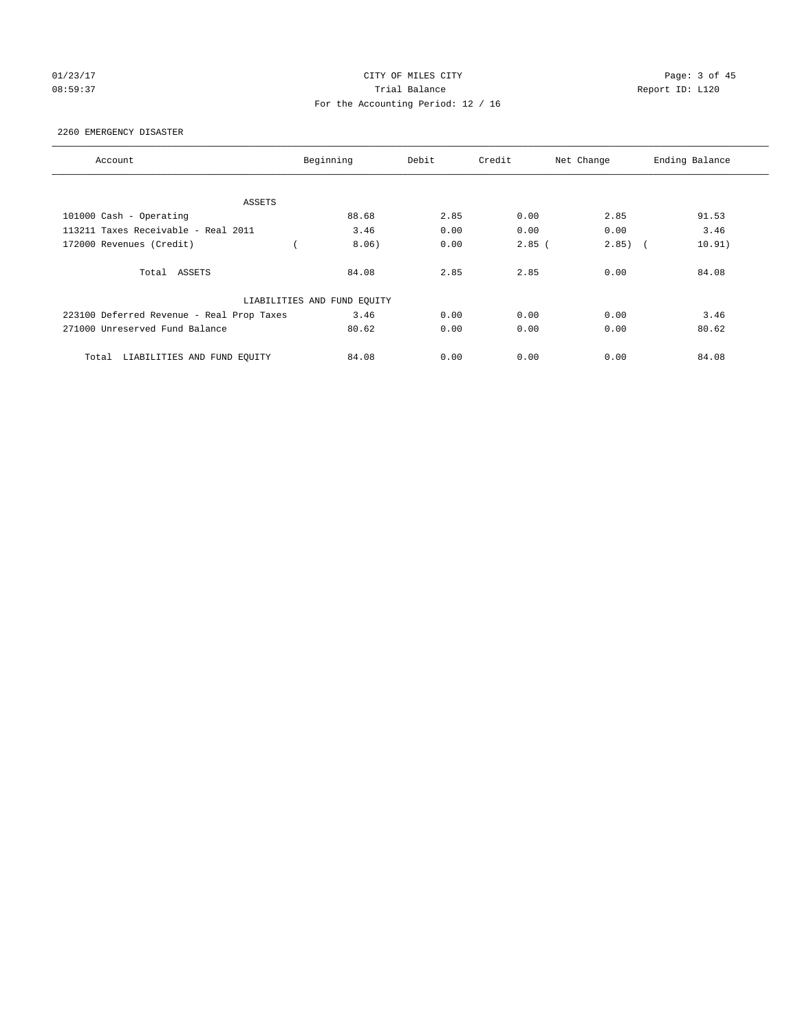# 01/23/17 Page: 3 of 45 08:59:37 Trial Balance Report ID: L120 For the Accounting Period: 12 / 16

## 2260 EMERGENCY DISASTER

| Account                                   | Beginning                   | Debit | Credit   | Net Change          | Ending Balance |
|-------------------------------------------|-----------------------------|-------|----------|---------------------|----------------|
|                                           |                             |       |          |                     |                |
| ASSETS                                    |                             |       |          |                     |                |
| 101000 Cash - Operating                   | 88.68                       | 2.85  | 0.00     | 2.85                | 91.53          |
| 113211 Taxes Receivable - Real 2011       | 3.46                        | 0.00  | 0.00     | 0.00                | 3.46           |
| 172000 Revenues (Credit)                  | 8.06)                       | 0.00  | $2.85$ ( | 2.85)<br>$\sqrt{2}$ | 10.91)         |
| Total ASSETS                              | 84.08                       | 2.85  | 2.85     | 0.00                | 84.08          |
|                                           | LIABILITIES AND FUND EQUITY |       |          |                     |                |
| 223100 Deferred Revenue - Real Prop Taxes | 3.46                        | 0.00  | 0.00     | 0.00                | 3.46           |
| 271000 Unreserved Fund Balance            | 80.62                       | 0.00  | 0.00     | 0.00                | 80.62          |
| LIABILITIES AND FUND EQUITY<br>Total      | 84.08                       | 0.00  | 0.00     | 0.00                | 84.08          |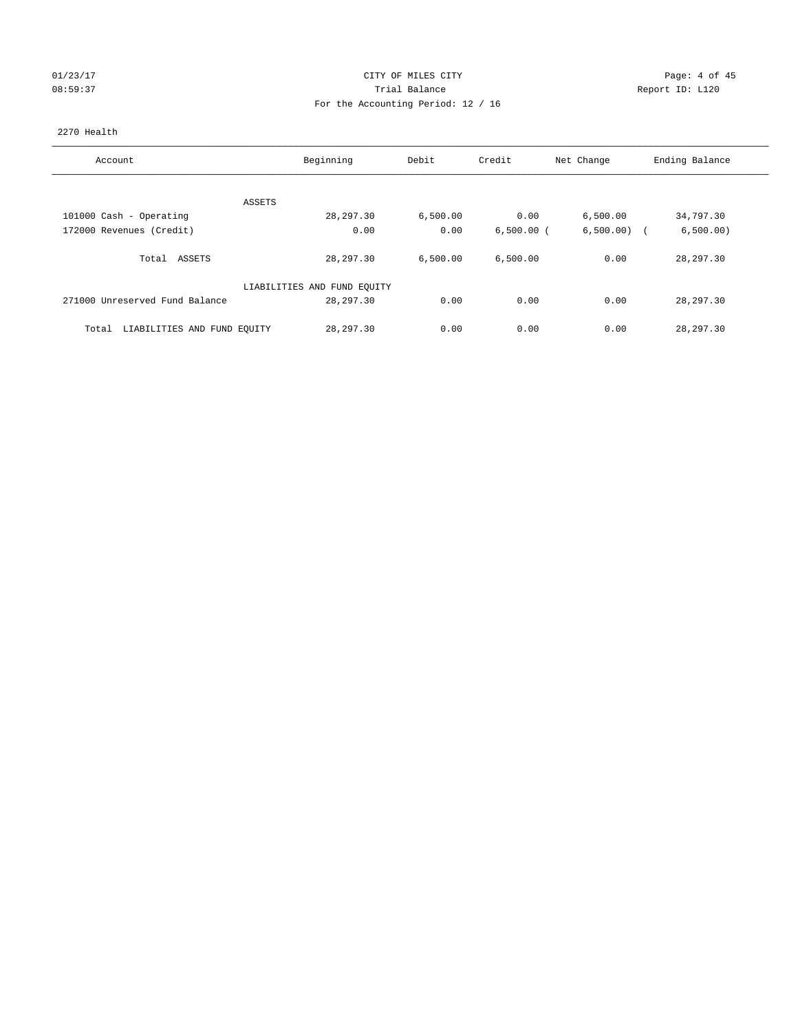## 01/23/17 Page: 4 of 45 08:59:37 Trial Balance Report ID: L120 For the Accounting Period: 12 / 16

## 2270 Health

| Account                              | Beginning                   | Debit    | Credit       | Net Change    | Ending Balance |
|--------------------------------------|-----------------------------|----------|--------------|---------------|----------------|
|                                      |                             |          |              |               |                |
| ASSETS                               |                             |          |              |               |                |
| 101000 Cash - Operating              | 28, 297.30                  | 6,500.00 | 0.00         | 6,500.00      | 34,797.30      |
| 172000 Revenues (Credit)             | 0.00                        | 0.00     | $6,500.00$ ( | $6,500.00)$ ( | 6,500.00)      |
| ASSETS<br>Total                      | 28, 297.30                  | 6,500.00 | 6,500.00     | 0.00          | 28, 297.30     |
|                                      | LIABILITIES AND FUND EQUITY |          |              |               |                |
| 271000 Unreserved Fund Balance       | 28, 297, 30                 | 0.00     | 0.00         | 0.00          | 28, 297.30     |
| LIABILITIES AND FUND EQUITY<br>Total | 28, 297.30                  | 0.00     | 0.00         | 0.00          | 28, 297.30     |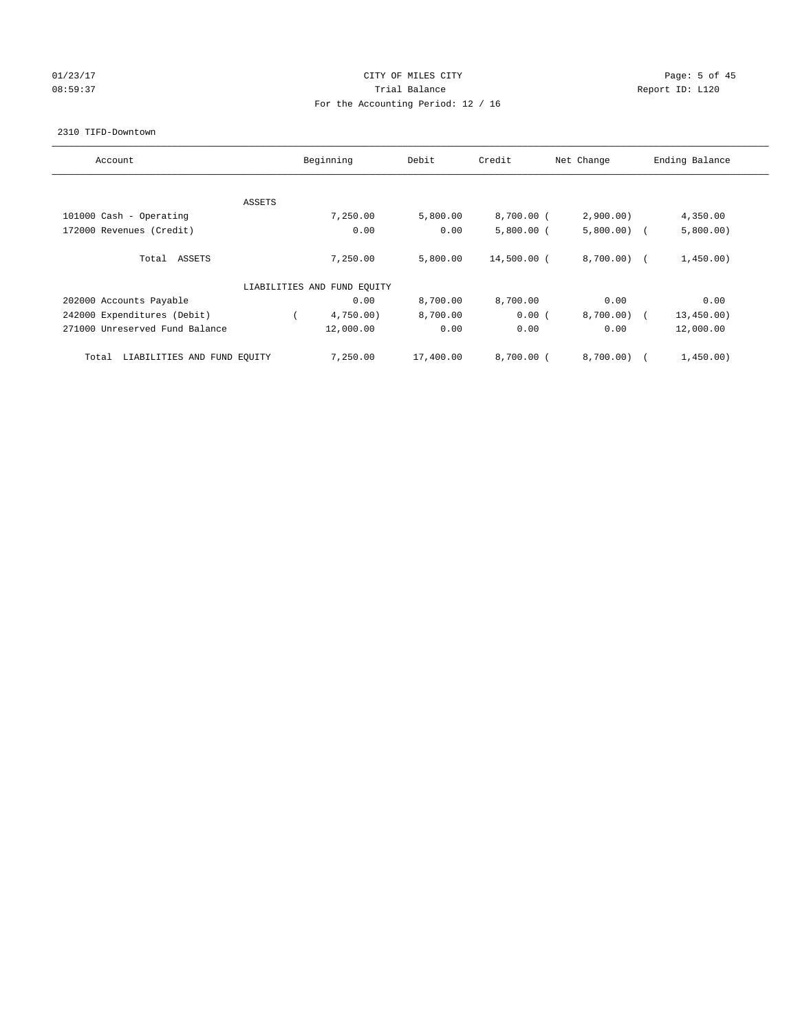## 01/23/17 Page: 5 of 45 08:59:37 Trial Balance Report ID: L120 For the Accounting Period: 12 / 16

#### 2310 TIFD-Downtown

| Account                              |        | Beginning                   | Debit     | Credit       | Net Change    | Ending Balance |
|--------------------------------------|--------|-----------------------------|-----------|--------------|---------------|----------------|
|                                      |        |                             |           |              |               |                |
|                                      | ASSETS |                             |           |              |               |                |
| 101000 Cash - Operating              |        | 7,250.00                    | 5,800.00  | $8,700.00$ ( | 2,900.00)     | 4,350.00       |
| 172000 Revenues (Credit)             |        | 0.00                        | 0.00      | $5,800.00$ ( | $5,800.00)$ ( | 5,800.00)      |
| Total ASSETS                         |        | 7,250.00                    | 5,800.00  | 14,500.00 (  | 8,700.00) (   | 1,450.00)      |
|                                      |        | LIABILITIES AND FUND EQUITY |           |              |               |                |
| 202000 Accounts Payable              |        | 0.00                        | 8,700.00  | 8,700.00     | 0.00          | 0.00           |
| 242000 Expenditures (Debit)          |        | 4,750.00)                   | 8,700.00  | 0.00(        | 8,700.00)     | 13, 450.00)    |
| 271000 Unreserved Fund Balance       |        | 12,000.00                   | 0.00      | 0.00         | 0.00          | 12,000.00      |
| LIABILITIES AND FUND EOUITY<br>Total |        | 7,250.00                    | 17,400.00 | $8.700.00$ ( | 8.700.00)     | 1,450.00)      |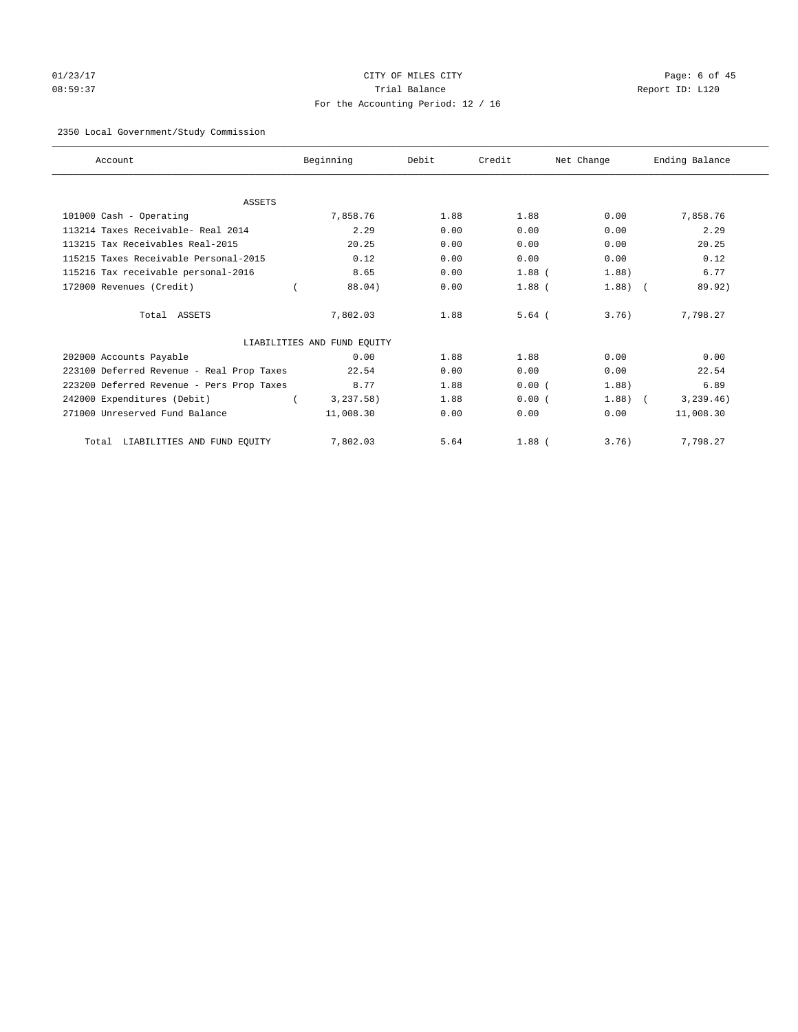# 01/23/17 Page: 6 of 45 08:59:37 Trial Balance Report ID: L120 For the Accounting Period: 12 / 16

## 2350 Local Government/Study Commission

| Account                                   | Beginning                   | Debit | Credit     | Net Change | Ending Balance |
|-------------------------------------------|-----------------------------|-------|------------|------------|----------------|
|                                           |                             |       |            |            |                |
| <b>ASSETS</b><br>101000 Cash - Operating  | 7,858.76                    | 1.88  | 1.88       | 0.00       | 7,858.76       |
| 113214 Taxes Receivable- Real 2014        | 2.29                        | 0.00  | 0.00       | 0.00       | 2.29           |
| 113215 Tax Receivables Real-2015          | 20.25                       | 0.00  | 0.00       | 0.00       | 20.25          |
| 115215 Taxes Receivable Personal-2015     | 0.12                        | 0.00  | 0.00       | 0.00       | 0.12           |
| 115216 Tax receivable personal-2016       | 8.65                        | 0.00  | $1.88$ (   | 1.88)      | 6.77           |
| 172000 Revenues (Credit)                  | 88.04)                      | 0.00  | $1.88$ (   | $1.88)$ (  | 89.92)         |
| Total ASSETS                              | 7,802.03                    | 1.88  | $5.64$ $($ | 3.76       | 7,798.27       |
|                                           | LIABILITIES AND FUND EQUITY |       |            |            |                |
| 202000 Accounts Payable                   | 0.00                        | 1.88  | 1.88       | 0.00       | 0.00           |
| 223100 Deferred Revenue - Real Prop Taxes | 22.54                       | 0.00  | 0.00       | 0.00       | 22.54          |
| 223200 Deferred Revenue - Pers Prop Taxes | 8.77                        | 1.88  | 0.00(      | 1.88)      | 6.89           |
| 242000 Expenditures (Debit)               | 3, 237.58)                  | 1.88  | 0.00(      | 1.88)      | 3, 239.46)     |
| 271000 Unreserved Fund Balance            | 11,008.30                   | 0.00  | 0.00       | 0.00       | 11,008.30      |
| LIABILITIES AND FUND EQUITY<br>Total      | 7,802.03                    | 5.64  | $1.88$ (   | 3.76)      | 7,798.27       |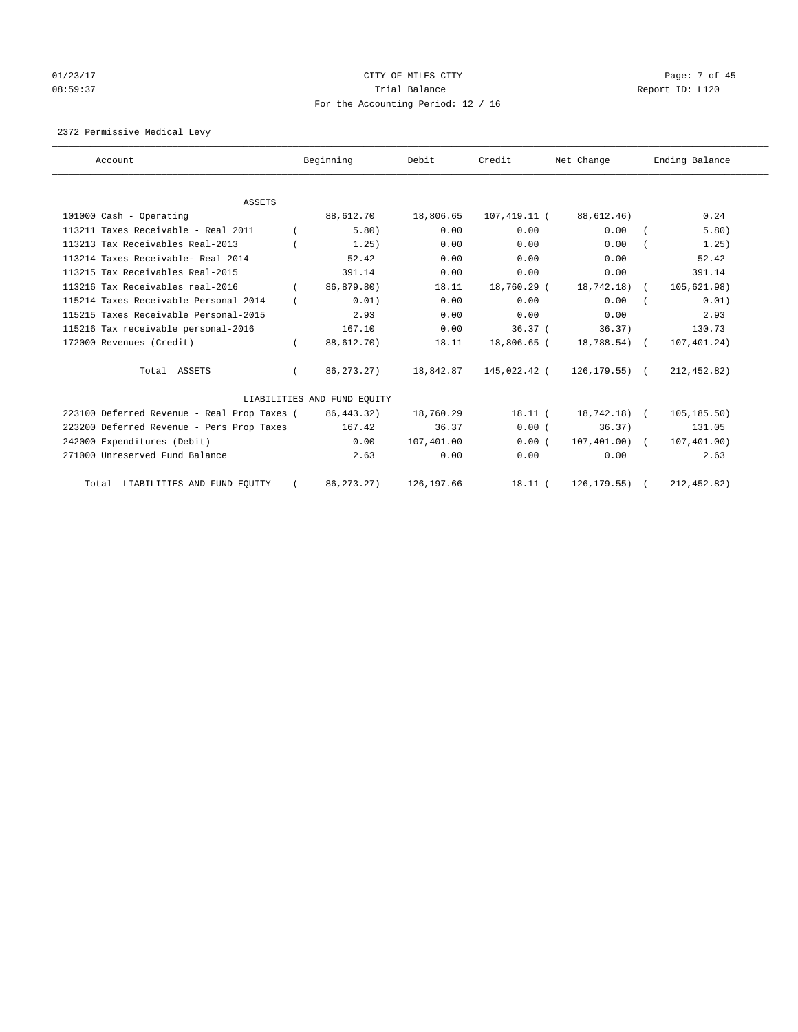# 01/23/17 Page: 7 of 45 08:59:37 Trial Balance Report ID: L120 For the Accounting Period: 12 / 16

2372 Permissive Medical Levy

| Account                                     | Beginning                   | Debit       | Credit       | Net Change        | Ending Balance |
|---------------------------------------------|-----------------------------|-------------|--------------|-------------------|----------------|
| <b>ASSETS</b>                               |                             |             |              |                   |                |
| 101000 Cash - Operating                     | 88,612.70                   | 18,806.65   | 107,419.11 ( | 88,612.46)        | 0.24           |
| 113211 Taxes Receivable - Real 2011         | 5.80)                       | 0.00        | 0.00         | 0.00              | 5.80)          |
| 113213 Tax Receivables Real-2013            | 1.25)                       | 0.00        | 0.00         | 0.00              | 1.25)          |
| 113214 Taxes Receivable- Real 2014          | 52.42                       | 0.00        | 0.00         | 0.00              | 52.42          |
| 113215 Tax Receivables Real-2015            | 391.14                      | 0.00        | 0.00         | 0.00              | 391.14         |
| 113216 Tax Receivables real-2016            | 86,879.80)                  | 18.11       | 18,760.29 (  | $18,742.18$ (     | 105,621.98)    |
| 115214 Taxes Receivable Personal 2014       | 0.01)                       | 0.00        | 0.00         | 0.00              | 0.01)          |
| 115215 Taxes Receivable Personal-2015       | 2.93                        | 0.00        | 0.00         | 0.00              | 2.93           |
| 115216 Tax receivable personal-2016         | 167.10                      | 0.00        | 36.37(       | 36.37)            | 130.73         |
| 172000 Revenues (Credit)                    | 88,612.70)                  | 18.11       | 18,806.65 (  | 18,788.54) (      | 107,401.24)    |
| Total ASSETS                                | 86, 273, 27)                | 18,842.87   | 145,022.42 ( | $126, 179.55$ ) ( | 212, 452.82)   |
|                                             | LIABILITIES AND FUND EQUITY |             |              |                   |                |
| 223100 Deferred Revenue - Real Prop Taxes ( | 86, 443. 32)                | 18,760.29   | $18.11$ (    | 18,742.18) (      | 105, 185.50)   |
| 223200 Deferred Revenue - Pers Prop Taxes   | 167.42                      | 36.37       | 0.00(        | 36.37)            | 131.05         |
| 242000 Expenditures (Debit)                 | 0.00                        | 107,401.00  | 0.00(        | $107,401.00$ (    | 107, 401.00)   |
| 271000 Unreserved Fund Balance              | 2.63                        | 0.00        | 0.00         | 0.00              | 2.63           |
| Total LIABILITIES AND FUND EQUITY           | 86, 273. 27)                | 126, 197.66 | $18.11$ (    | 126, 179.55)      | 212, 452.82)   |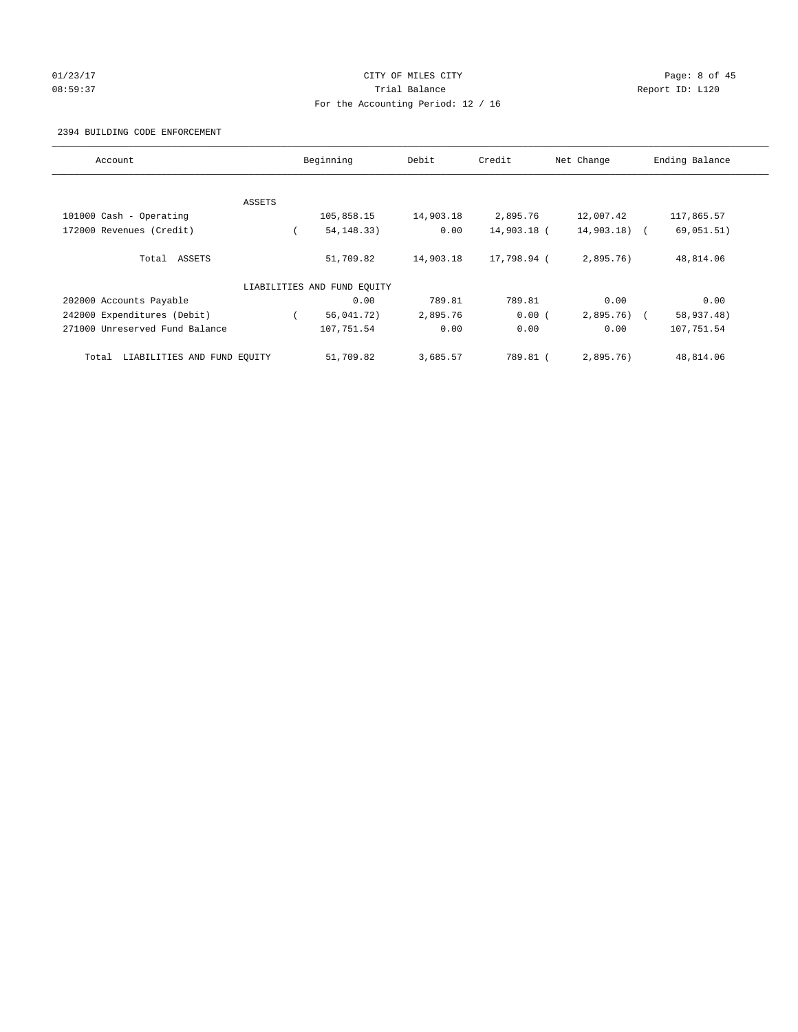## 01/23/17 Page: 8 of 45 08:59:37 Trial Balance Report ID: L120 For the Accounting Period: 12 / 16

## 2394 BUILDING CODE ENFORCEMENT

| Account                              |        | Beginning                   | Debit     | Credit      | Net Change    | Ending Balance |
|--------------------------------------|--------|-----------------------------|-----------|-------------|---------------|----------------|
|                                      |        |                             |           |             |               |                |
|                                      | ASSETS |                             |           |             |               |                |
| 101000 Cash - Operating              |        | 105,858.15                  | 14,903.18 | 2,895.76    | 12,007.42     | 117,865.57     |
| 172000 Revenues (Credit)             |        | 54, 148. 33)                | 0.00      | 14,903.18 ( | $14,903.18$ ( | 69,051.51)     |
| Total ASSETS                         |        | 51,709.82                   | 14,903.18 | 17,798.94 ( | 2,895.76)     | 48,814.06      |
|                                      |        | LIABILITIES AND FUND EQUITY |           |             |               |                |
| 202000 Accounts Payable              |        | 0.00                        | 789.81    | 789.81      | 0.00          | 0.00           |
| 242000 Expenditures (Debit)          |        | 56,041.72)                  | 2,895.76  | 0.00(       | $2,895.76$ (  | 58,937.48)     |
| 271000 Unreserved Fund Balance       |        | 107,751.54                  | 0.00      | 0.00        | 0.00          | 107,751.54     |
| LIABILITIES AND FUND EQUITY<br>Total |        | 51,709.82                   | 3,685.57  | 789.81 (    | 2.895.76      | 48,814.06      |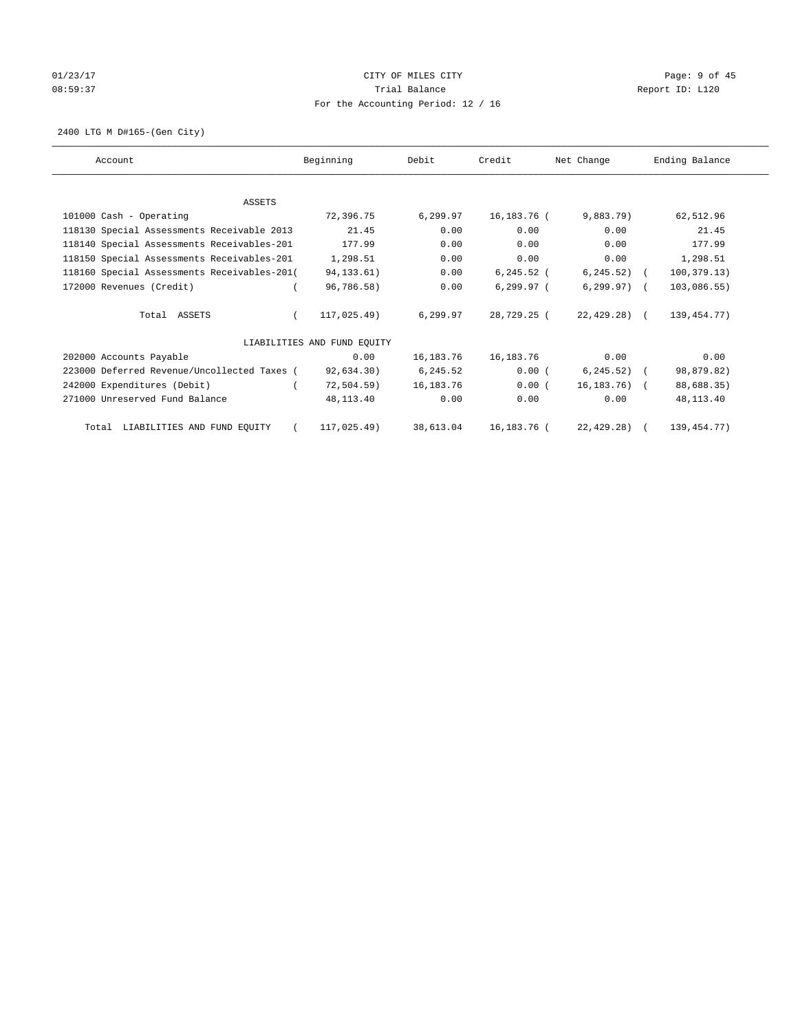# 01/23/17 Page: 9 of 45 08:59:37 Trial Balance Report ID: L120 For the Accounting Period: 12 / 16

2400 LTG M D#165-(Gen City)

| Account                                     | Beginning                   | Debit     | Credit        | Net Change      | Ending Balance |
|---------------------------------------------|-----------------------------|-----------|---------------|-----------------|----------------|
|                                             |                             |           |               |                 |                |
| ASSETS                                      |                             |           |               |                 |                |
| 101000 Cash - Operating                     | 72,396.75                   | 6,299.97  | 16,183.76 (   | 9,883.79)       | 62,512.96      |
| 118130 Special Assessments Receivable 2013  | 21.45                       | 0.00      | 0.00          | 0.00            | 21.45          |
| 118140 Special Assessments Receivables-201  | 177.99                      | 0.00      | 0.00          | 0.00            | 177.99         |
| 118150 Special Assessments Receivables-201  | 1,298.51                    | 0.00      | 0.00          | 0.00            | 1,298.51       |
| 118160 Special Assessments Receivables-201( | 94, 133. 61)                | 0.00      | $6, 245.52$ ( | $6, 245.52)$ (  | 100, 379.13)   |
| 172000 Revenues (Credit)                    | 96,786.58)                  | 0.00      | $6, 299.97$ ( | $6, 299.97$ (   | 103,086.55)    |
| Total ASSETS                                | 117,025.49)                 | 6,299.97  | 28,729.25 (   | $22,429.28$ (   | 139, 454. 77)  |
|                                             | LIABILITIES AND FUND EOUITY |           |               |                 |                |
| 202000 Accounts Payable                     | 0.00                        | 16,183.76 | 16,183.76     | 0.00            | 0.00           |
| 223000 Deferred Revenue/Uncollected Taxes ( | 92,634.30)                  | 6,245.52  | 0.00(         | $6, 245.52$ (   | 98,879.82)     |
| 242000 Expenditures (Debit)                 | $72,504.59$ )               | 16,183.76 | 0.00(         | $16, 183, 76$ ( | 88,688.35)     |
| 271000 Unreserved Fund Balance              | 48,113.40                   | 0.00      | 0.00          | 0.00            | 48,113.40      |
| Total LIABILITIES AND FUND EQUITY           | 117,025.49)                 | 38,613.04 | 16,183.76 (   | 22, 429.28)     | 139, 454. 77)  |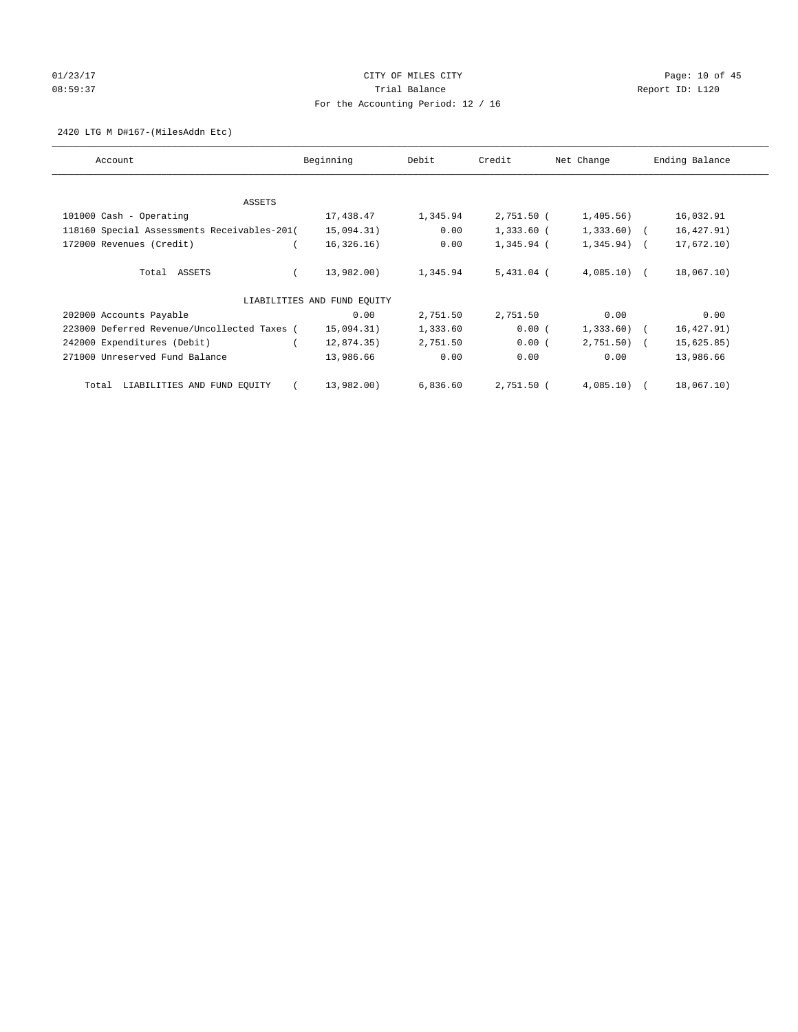# 01/23/17 Page: 10 of 45 08:59:37 CHERRY Trial Balance CHERRY Report ID: L120 For the Accounting Period: 12 / 16

2420 LTG M D#167-(MilesAddn Etc)

| Account                                     | Beginning                   | Debit    | Credit       | Net Change   | Ending Balance |
|---------------------------------------------|-----------------------------|----------|--------------|--------------|----------------|
| ASSETS                                      |                             |          |              |              |                |
| 101000 Cash - Operating                     | 17,438.47                   | 1,345.94 | 2,751.50 (   | 1,405.56)    | 16,032.91      |
| 118160 Special Assessments Receivables-201( | 15,094.31)                  | 0.00     | $1,333.60$ ( | $1,333.60$ ( | 16, 427.91)    |
| 172000 Revenues (Credit)                    | 16, 326.16)                 | 0.00     | 1,345.94 (   | $1,345.94$ ( | 17,672.10)     |
| Total ASSETS                                | 13,982.00)                  | 1,345.94 | $5,431.04$ ( | $4,085.10$ ( | 18,067.10)     |
|                                             | LIABILITIES AND FUND EQUITY |          |              |              |                |
| 202000 Accounts Payable                     | 0.00                        | 2,751.50 | 2,751.50     | 0.00         | 0.00           |
| 223000 Deferred Revenue/Uncollected Taxes ( | 15,094.31)                  | 1,333.60 | 0.00(        | $1,333.60$ ( | 16,427.91)     |
| 242000 Expenditures (Debit)                 | 12,874.35)                  | 2,751.50 | 0.00(        | $2,751.50$ ( | 15,625.85)     |
| 271000 Unreserved Fund Balance              | 13,986.66                   | 0.00     | 0.00         | 0.00         | 13,986.66      |
| LIABILITIES AND FUND EQUITY<br>Total        | 13,982.00)                  | 6,836.60 | 2,751.50 (   | 4,085.10     | 18,067.10)     |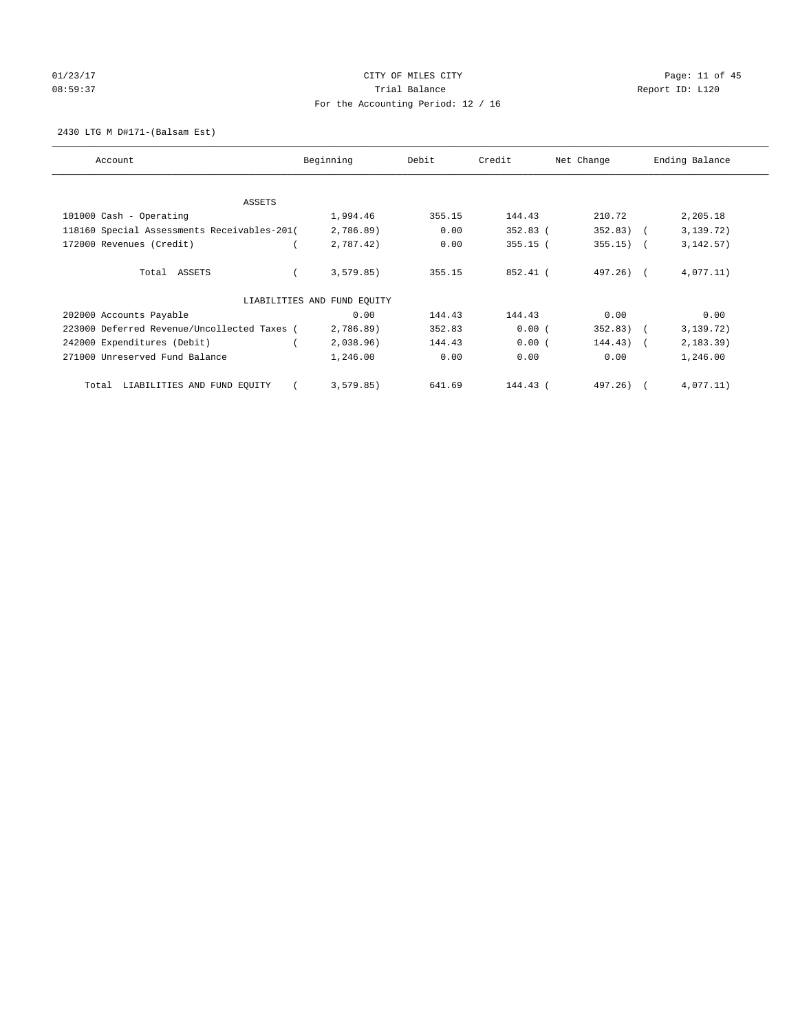# 01/23/17 Page: 11 of 45 08:59:37 CHERRY Trial Balance CHERRY Report ID: L120 For the Accounting Period: 12 / 16

2430 LTG M D#171-(Balsam Est)

| Account                                     | Beginning                   | Debit  | Credit     | Net Change  | Ending Balance |
|---------------------------------------------|-----------------------------|--------|------------|-------------|----------------|
| ASSETS                                      |                             |        |            |             |                |
| 101000 Cash - Operating                     | 1,994.46                    | 355.15 | 144.43     | 210.72      | 2,205.18       |
| 118160 Special Assessments Receivables-201( | 2,786.89)                   | 0.00   | $352.83$ ( | 352.83)     | 3, 139, 72)    |
| 172000 Revenues (Credit)                    | 2,787.42)                   | 0.00   | $355.15$ ( | $355.15)$ ( | 3, 142.57)     |
| Total ASSETS                                | 3,579.85)                   | 355.15 | 852.41 (   | $497.26$ (  | 4,077.11)      |
|                                             | LIABILITIES AND FUND EQUITY |        |            |             |                |
| 202000 Accounts Payable                     | 0.00                        | 144.43 | 144.43     | 0.00        | 0.00           |
| 223000 Deferred Revenue/Uncollected Taxes ( | 2,786.89)                   | 352.83 | 0.00(      | $352.83)$ ( | 3,139.72)      |
| 242000 Expenditures (Debit)                 | 2,038.96)                   | 144.43 | 0.00(      | $144.43)$ ( | 2, 183.39)     |
| 271000 Unreserved Fund Balance              | 1,246.00                    | 0.00   | 0.00       | 0.00        | 1,246.00       |
| LIABILITIES AND FUND EQUITY<br>Total        | 3,579.85)                   | 641.69 | 144.43 (   | 497.26)     | 4,077.11)      |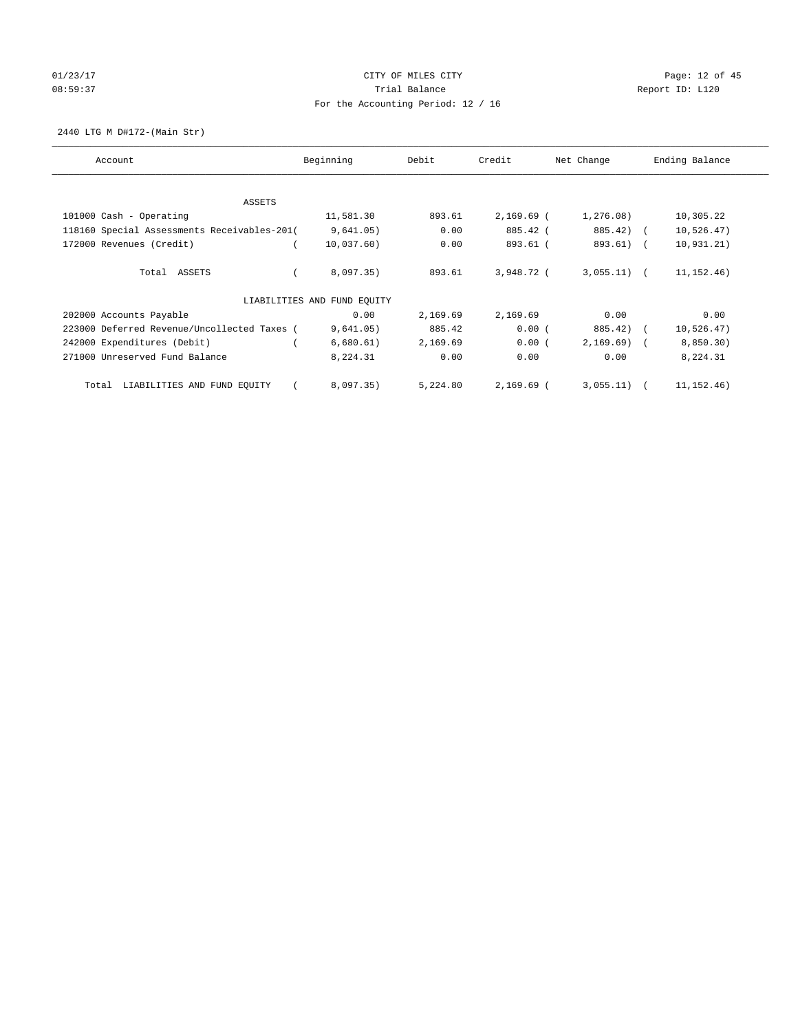# 01/23/17 Page: 12 of 45 08:59:37 CHERRY Trial Balance CHERRY Report ID: L120 For the Accounting Period: 12 / 16

2440 LTG M D#172-(Main Str)

| Account                                     | Beginning                   | Debit    | Credit       | Net Change    | Ending Balance |
|---------------------------------------------|-----------------------------|----------|--------------|---------------|----------------|
| ASSETS                                      |                             |          |              |               |                |
| 101000 Cash - Operating                     | 11,581.30                   | 893.61   | $2,169.69$ ( | 1,276.08)     | 10,305.22      |
| 118160 Special Assessments Receivables-201( | 9,641.05)                   | 0.00     | 885.42 (     | 885.42) (     | 10, 526.47)    |
| 172000 Revenues (Credit)                    | 10,037.60)                  | 0.00     | 893.61 (     | 893.61) (     | 10, 931.21)    |
| Total ASSETS                                | 8,097.35)                   | 893.61   | 3,948.72 (   | $3,055.11)$ ( | 11, 152.46)    |
|                                             | LIABILITIES AND FUND EQUITY |          |              |               |                |
| 202000 Accounts Payable                     | 0.00                        | 2,169.69 | 2,169.69     | 0.00          | 0.00           |
| 223000 Deferred Revenue/Uncollected Taxes ( | 9,641.05)                   | 885.42   | 0.00(        | 885.42)       | 10, 526.47)    |
| 242000 Expenditures (Debit)                 | 6,680.61)                   | 2,169.69 | 0.00(        | $2,169.69$ (  | 8,850.30)      |
| 271000 Unreserved Fund Balance              | 8,224.31                    | 0.00     | 0.00         | 0.00          | 8,224.31       |
| LIABILITIES AND FUND EQUITY<br>Total        | 8,097.35)                   | 5,224.80 | $2,169.69$ ( | 3,055.11)     | 11, 152.46)    |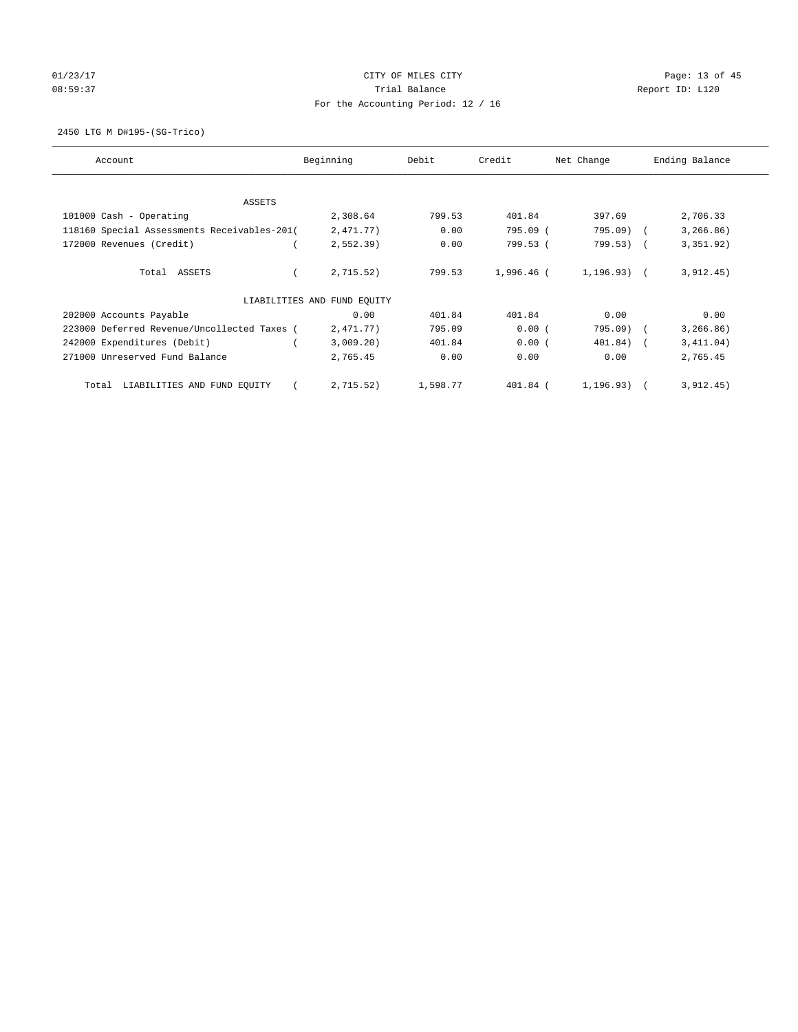# 01/23/17 Page: 13 of 45 08:59:37 CHERRY Trial Balance CHERRY Report ID: L120 For the Accounting Period: 12 / 16

2450 LTG M D#195-(SG-Trico)

| Account                                     | Beginning                   | Debit    | Credit     | Net Change   | Ending Balance |
|---------------------------------------------|-----------------------------|----------|------------|--------------|----------------|
| <b>ASSETS</b>                               |                             |          |            |              |                |
| 101000 Cash - Operating                     | 2,308.64                    | 799.53   | 401.84     | 397.69       | 2,706.33       |
| 118160 Special Assessments Receivables-201( | 2,471.77)                   | 0.00     | 795.09 (   | $795.09$ )   | 3, 266.86)     |
| 172000 Revenues (Credit)                    | $2,552.39$ )                | 0.00     | 799.53 (   | 799.53) (    | 3,351.92)      |
| Total ASSETS                                | 2,715.52)                   | 799.53   | 1,996.46 ( | $1.196.93$ ( | 3,912.45)      |
|                                             | LIABILITIES AND FUND EQUITY |          |            |              |                |
| 202000 Accounts Payable                     | 0.00                        | 401.84   | 401.84     | 0.00         | 0.00           |
| 223000 Deferred Revenue/Uncollected Taxes ( | 2,471.77)                   | 795.09   | 0.00(      | $795.09$ )   | 3, 266.86)     |
| 242000 Expenditures (Debit)                 | 3,009.20)                   | 401.84   | 0.00(      | $401.84)$ (  | 3,411.04)      |
| 271000 Unreserved Fund Balance              | 2,765.45                    | 0.00     | 0.00       | 0.00         | 2,765.45       |
| LIABILITIES AND FUND EQUITY<br>Total        | 2,715.52)                   | 1,598.77 | $401.84$ ( | 1,196.93)    | 3,912.45)      |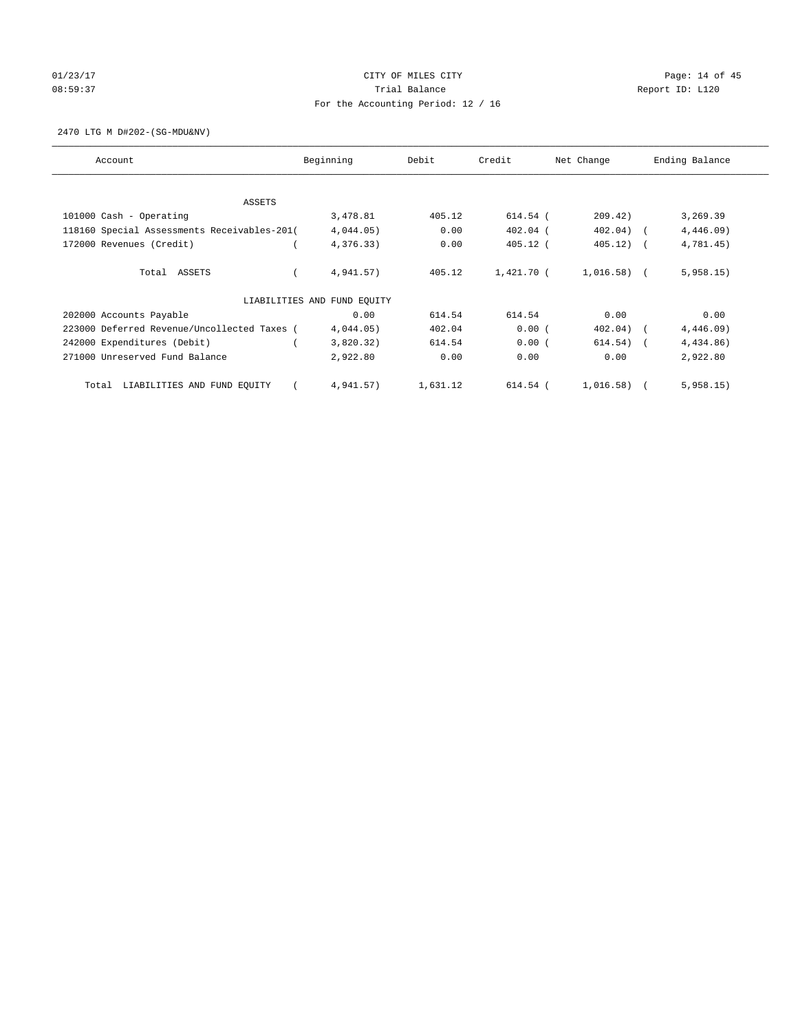# 01/23/17 Page: 14 of 45 08:59:37 CHERRY Trial Balance CHERRY Report ID: L120 For the Accounting Period: 12 / 16

2470 LTG M D#202-(SG-MDU&NV)

| Account                                     | Beginning                   | Debit    | Credit     | Net Change   | Ending Balance |
|---------------------------------------------|-----------------------------|----------|------------|--------------|----------------|
| <b>ASSETS</b>                               |                             |          |            |              |                |
| 101000 Cash - Operating                     | 3,478.81                    | 405.12   | 614.54 (   | 209.42)      | 3,269.39       |
| 118160 Special Assessments Receivables-201( | 4,044.05)                   | 0.00     | $402.04$ ( | $402.04)$ (  | $4,446.09$ )   |
| 172000 Revenues (Credit)                    | 4,376.33)                   | 0.00     | $405.12$ ( | 405.12)      | 4,781.45)      |
| Total ASSETS                                | 4,941.57)                   | 405.12   | 1,421.70 ( | $1,016.58$ ( | 5,958.15)      |
|                                             | LIABILITIES AND FUND EQUITY |          |            |              |                |
| 202000 Accounts Payable                     | 0.00                        | 614.54   | 614.54     | 0.00         | 0.00           |
| 223000 Deferred Revenue/Uncollected Taxes ( | 4,044.05)                   | 402.04   | 0.00(      | 402.04)      | 4,446.09)      |
| 242000 Expenditures (Debit)                 | 3,820.32)                   | 614.54   | 0.00(      | $614.54)$ (  | 4,434.86)      |
| 271000 Unreserved Fund Balance              | 2,922.80                    | 0.00     | 0.00       | 0.00         | 2,922.80       |
| LIABILITIES AND FUND EQUITY<br>Total        | 4,941.57)                   | 1,631.12 | 614.54 (   | 1,016.58)    | 5,958.15)      |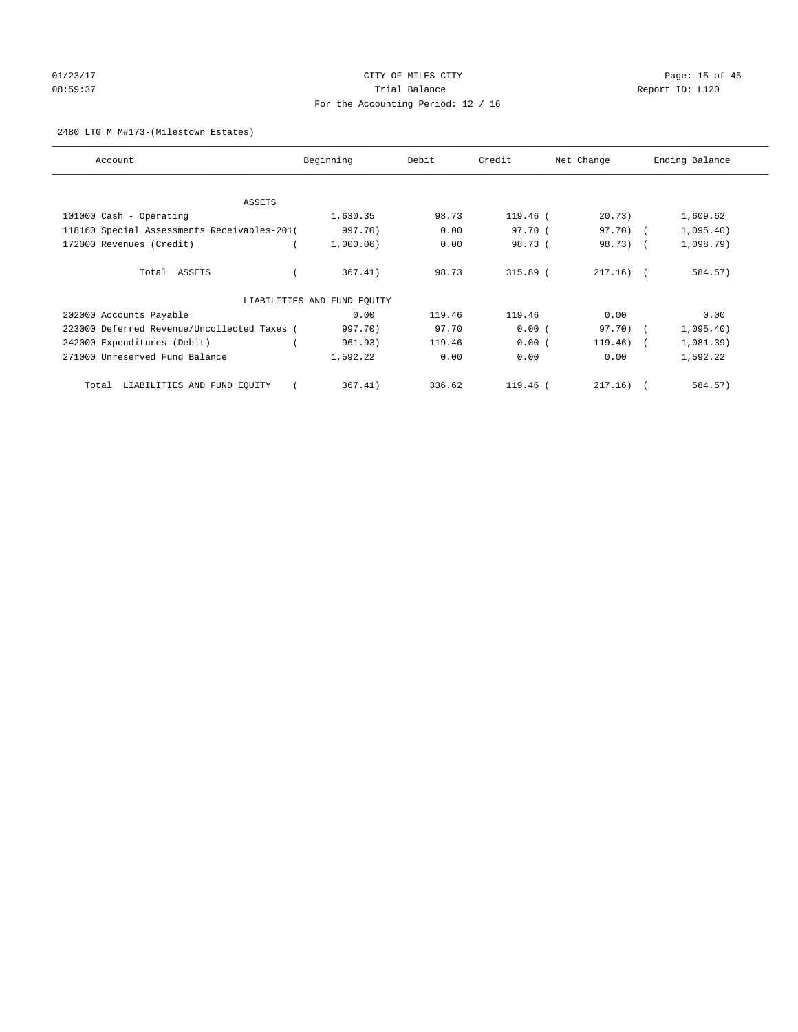# 01/23/17 Page: 15 of 45 08:59:37 CHERRY Trial Balance CHERRY Report ID: L120 For the Accounting Period: 12 / 16

## 2480 LTG M M#173-(Milestown Estates)

| Account                                     | Beginning                   | Debit  | Credit     | Net Change  | Ending Balance |
|---------------------------------------------|-----------------------------|--------|------------|-------------|----------------|
| ASSETS                                      |                             |        |            |             |                |
| 101000 Cash - Operating                     | 1,630.35                    | 98.73  | $119.46$ ( | 20.73)      | 1,609.62       |
| 118160 Special Assessments Receivables-201( | 997.70)                     | 0.00   | 97.70 (    | 97.70) (    | 1,095.40)      |
| 172000 Revenues (Credit)                    | 1,000.06)                   | 0.00   | 98.73 (    | 98.73) (    | 1,098.79)      |
| Total ASSETS                                | 367.41)                     | 98.73  | $315.89$ ( | $217.16)$ ( | 584.57)        |
|                                             | LIABILITIES AND FUND EQUITY |        |            |             |                |
| 202000 Accounts Payable                     | 0.00                        | 119.46 | 119.46     | 0.00        | 0.00           |
| 223000 Deferred Revenue/Uncollected Taxes ( | 997.70)                     | 97.70  | 0.00(      | 97.70) (    | 1,095.40)      |
| 242000 Expenditures (Debit)                 | 961.93)                     | 119.46 | 0.00(      | $119.46)$ ( | 1,081.39)      |
| 271000 Unreserved Fund Balance              | 1,592.22                    | 0.00   | 0.00       | 0.00        | 1,592.22       |
| LIABILITIES AND FUND EQUITY<br>Total        | 367.41)                     | 336.62 | $119.46$ ( | 217.16)     | 584.57)        |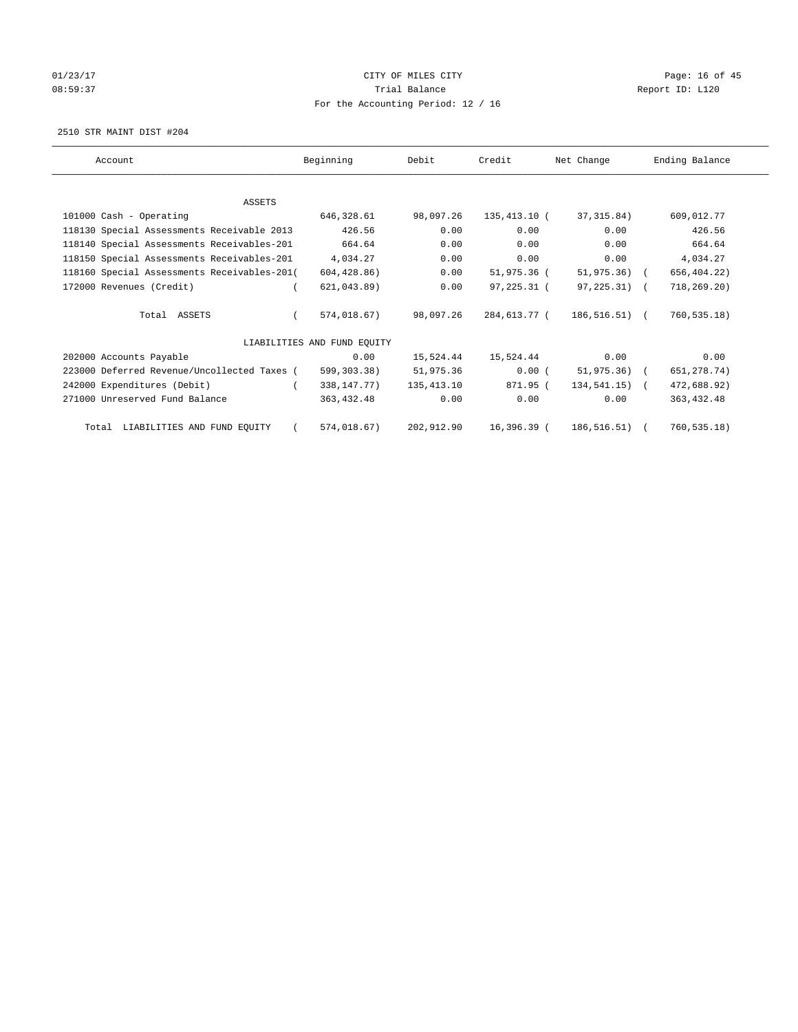# 01/23/17 Page: 16 of 45 08:59:37 CHERRY Trial Balance CHERRY Report ID: L120 For the Accounting Period: 12 / 16

2510 STR MAINT DIST #204

| Account                                     | Beginning                   | Debit        | Credit       | Net Change     | Ending Balance |
|---------------------------------------------|-----------------------------|--------------|--------------|----------------|----------------|
|                                             |                             |              |              |                |                |
| <b>ASSETS</b>                               |                             |              |              |                |                |
| 101000 Cash - Operating                     | 646,328.61                  | 98,097.26    | 135,413.10 ( | 37,315.84)     | 609,012.77     |
| 118130 Special Assessments Receivable 2013  | 426.56                      | 0.00         | 0.00         | 0.00           | 426.56         |
| 118140 Special Assessments Receivables-201  | 664.64                      | 0.00         | 0.00         | 0.00           | 664.64         |
| 118150 Special Assessments Receivables-201  | 4,034.27                    | 0.00         | 0.00         | 0.00           | 4,034.27       |
| 118160 Special Assessments Receivables-201( | 604, 428.86)                | 0.00         | 51,975.36 (  | 51,975.36) (   | 656, 404.22)   |
| 172000 Revenues (Credit)                    | 621,043.89)                 | 0.00         | 97,225.31 (  | 97,225.31) (   | 718, 269.20)   |
| Total ASSETS                                | 574,018.67)                 | 98,097.26    | 284,613.77 ( | 186,516.51) (  | 760, 535.18    |
|                                             | LIABILITIES AND FUND EQUITY |              |              |                |                |
| 202000 Accounts Payable                     | 0.00                        | 15,524.44    | 15,524.44    | 0.00           | 0.00           |
| 223000 Deferred Revenue/Uncollected Taxes ( | 599,303.38)                 | 51,975.36    | 0.00(        | $51,975.36$ (  | 651, 278.74)   |
| 242000 Expenditures (Debit)                 | 338, 147. 77)               | 135, 413. 10 | 871.95 (     | $134.541.15$ ( | 472,688.92)    |
| 271000 Unreserved Fund Balance              | 363,432.48                  | 0.00         | 0.00         | 0.00           | 363, 432.48    |
| Total LIABILITIES AND FUND EQUITY           | 574,018.67)                 | 202,912.90   | 16,396.39 (  | 186,516.51)    | 760, 535.18)   |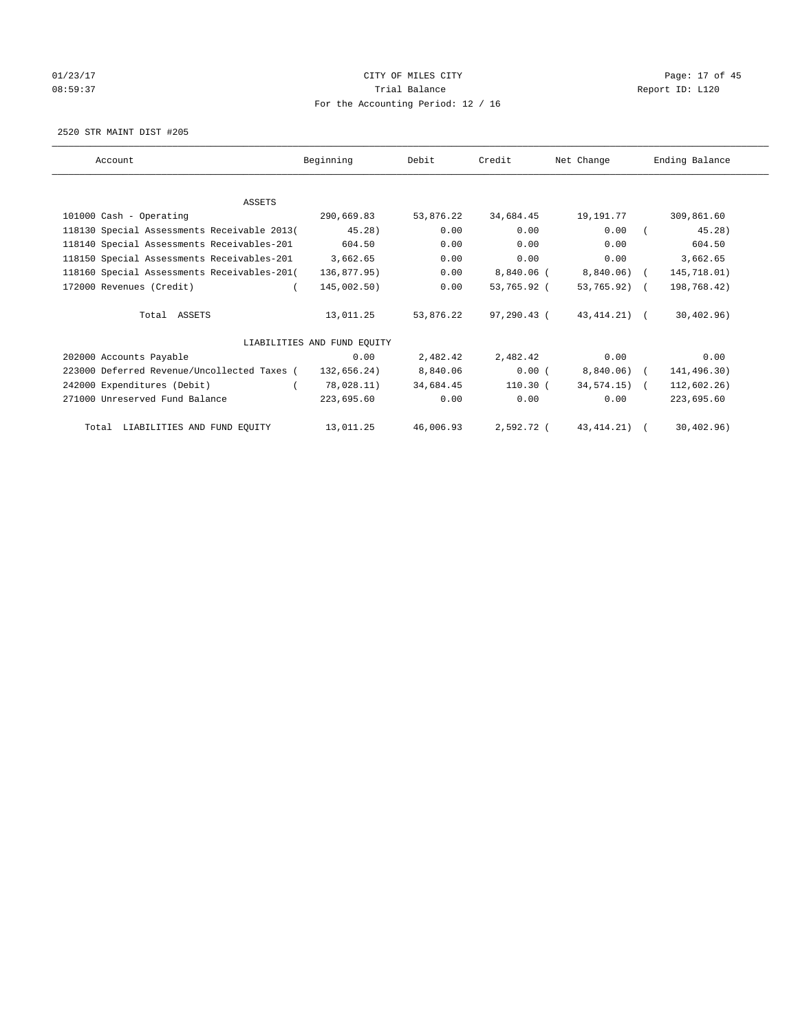# 01/23/17 Page: 17 of 45 08:59:37 CHERRY Trial Balance CHERRY Report ID: L120 For the Accounting Period: 12 / 16

2520 STR MAINT DIST #205

| Account                                     | Beginning                   | Debit     | Credit      | Net Change      | Ending Balance |
|---------------------------------------------|-----------------------------|-----------|-------------|-----------------|----------------|
|                                             |                             |           |             |                 |                |
| ASSETS                                      |                             |           |             |                 |                |
| 101000 Cash - Operating                     | 290,669.83                  | 53,876.22 | 34,684.45   | 19,191.77       | 309,861.60     |
| 118130 Special Assessments Receivable 2013( | 45.28)                      | 0.00      | 0.00        | 0.00            | 45.28)         |
| 118140 Special Assessments Receivables-201  | 604.50                      | 0.00      | 0.00        | 0.00            | 604.50         |
| 118150 Special Assessments Receivables-201  | 3,662.65                    | 0.00      | 0.00        | 0.00            | 3,662.65       |
| 118160 Special Assessments Receivables-201( | 136,877.95)                 | 0.00      | 8,840.06 (  | 8,840.06) (     | 145,718.01)    |
| 172000 Revenues (Credit)                    | 145,002.50)                 | 0.00      | 53,765.92 ( | 53,765.92) (    | 198,768.42)    |
| Total ASSETS                                | 13,011.25                   | 53,876.22 | 97,290.43 ( | 43,414.21) (    | 30, 402.96)    |
|                                             | LIABILITIES AND FUND EOUITY |           |             |                 |                |
| 202000 Accounts Payable                     | 0.00                        | 2,482.42  | 2,482.42    | 0.00            | 0.00           |
| 223000 Deferred Revenue/Uncollected Taxes ( | 132,656.24)                 | 8,840.06  | 0.00(       | $8,840.06$ (    | 141,496.30)    |
| 242000 Expenditures (Debit)                 | 78,028.11)                  | 34,684.45 | $110.30$ (  | $34,574.15$ ) ( | 112,602.26)    |
| 271000 Unreserved Fund Balance              | 223,695.60                  | 0.00      | 0.00        | 0.00            | 223,695.60     |
| Total LIABILITIES AND FUND EQUITY           | 13,011.25                   | 46,006.93 | 2,592.72 (  | 43, 414. 21)    | 30, 402, 96)   |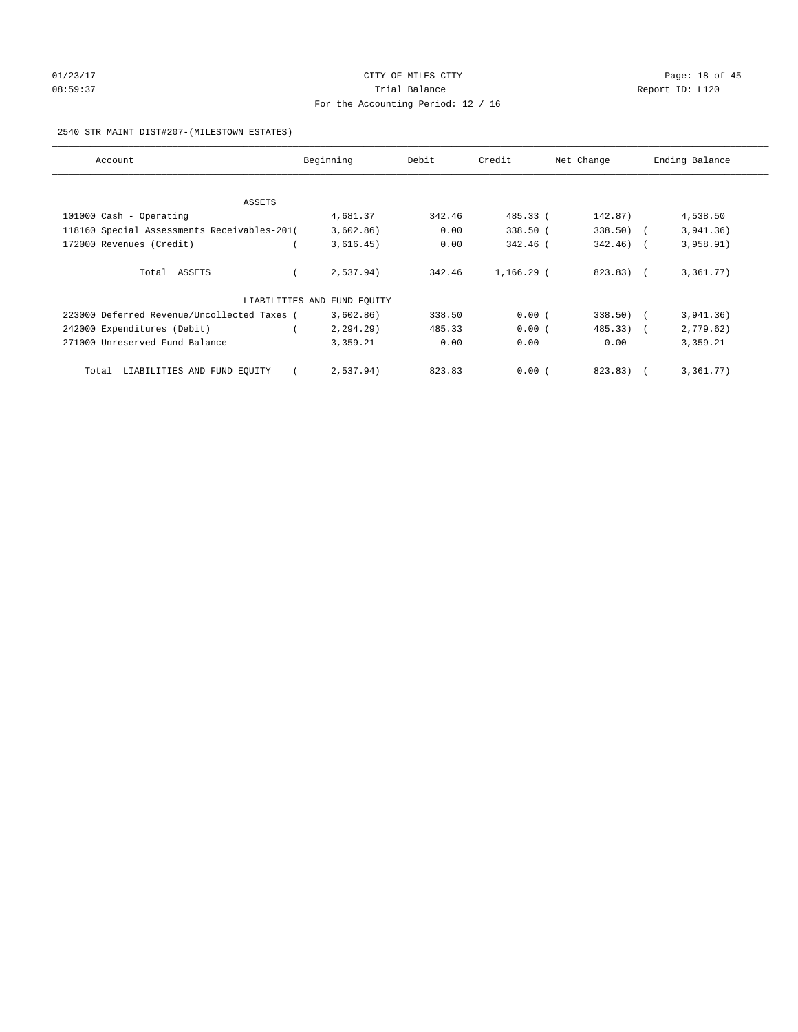# 01/23/17 Page: 18 of 45 08:59:37 CHERRY Trial Balance CHERRY Report ID: L120 For the Accounting Period: 12 / 16

## 2540 STR MAINT DIST#207-(MILESTOWN ESTATES)

| Account                                     | Beginning                   | Debit  | Credit       | Net Change  | Ending Balance |
|---------------------------------------------|-----------------------------|--------|--------------|-------------|----------------|
|                                             |                             |        |              |             |                |
| ASSETS                                      |                             |        |              |             |                |
| 101000 Cash - Operating                     | 4,681.37                    | 342.46 | 485.33 (     | 142.87)     | 4,538.50       |
| 118160 Special Assessments Receivables-201( | 3,602.86)                   | 0.00   | 338.50 (     | $338.50$ (  | 3,941.36)      |
| 172000 Revenues (Credit)                    | 3,616.45)                   | 0.00   | 342.46 (     | $342.46)$ ( | 3,958.91)      |
| Total ASSETS                                | 2,537.94)                   | 342.46 | $1,166.29$ ( | 823.83) (   | 3,361.77)      |
|                                             | LIABILITIES AND FUND EQUITY |        |              |             |                |
| 223000 Deferred Revenue/Uncollected Taxes ( | 3,602.86)                   | 338.50 | 0.00(        | $338.50$ )  | 3,941.36)      |
| 242000 Expenditures (Debit)                 | 2, 294.29                   | 485.33 | 0.00(        | $485.33)$ ( | 2,779.62)      |
| 271000 Unreserved Fund Balance              | 3,359.21                    | 0.00   | 0.00         | 0.00        | 3,359.21       |
| LIABILITIES AND FUND EQUITY<br>Total        | 2,537.94)                   | 823.83 | 0.00(        | 823.83)     | 3,361.77)      |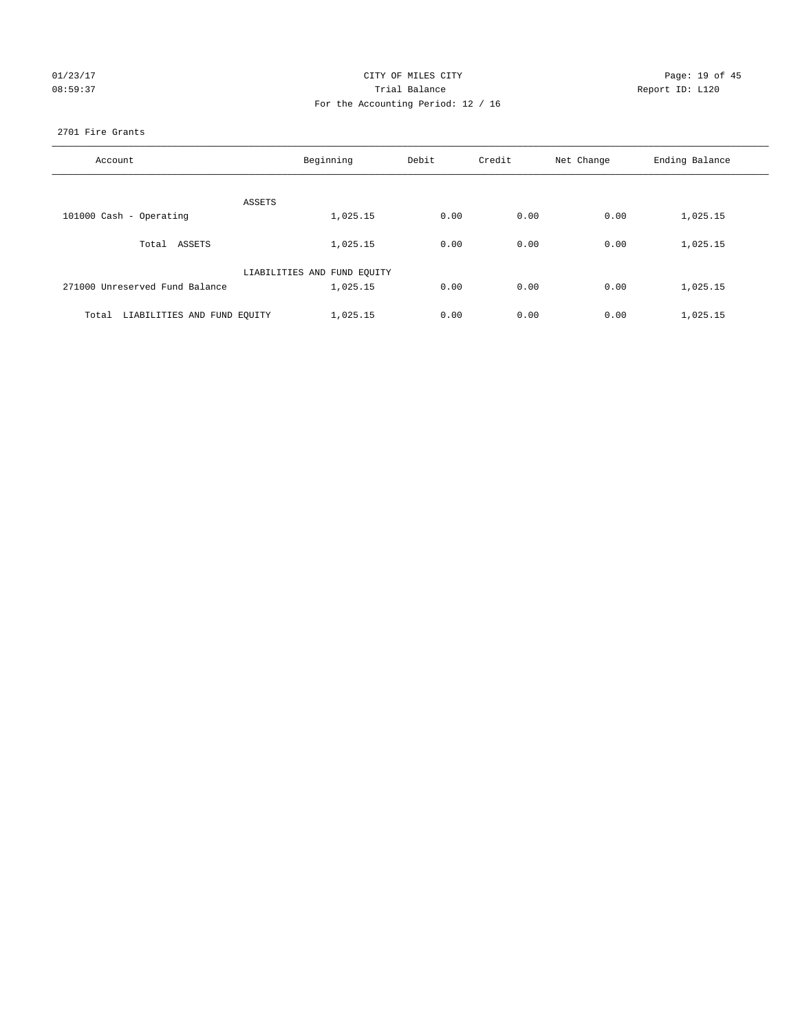|         | 01/23/17 |
|---------|----------|
| 08:59:3 |          |

## CITY OF MILES CITY CONTROL CONTROL CITY CONTROL Page: 19 of 45 08:59:37 Trial Balance Report ID: L120 For the Accounting Period: 12 / 16

## 2701 Fire Grants

| Account                              | Beginning                   | Debit | Credit | Net Change | Ending Balance |
|--------------------------------------|-----------------------------|-------|--------|------------|----------------|
| ASSETS                               |                             |       |        |            |                |
| 101000 Cash - Operating              | 1,025.15                    | 0.00  | 0.00   | 0.00       | 1,025.15       |
| Total ASSETS                         | 1,025.15                    | 0.00  | 0.00   | 0.00       | 1,025.15       |
|                                      | LIABILITIES AND FUND EQUITY |       |        |            |                |
| 271000 Unreserved Fund Balance       | 1,025.15                    | 0.00  | 0.00   | 0.00       | 1,025.15       |
| LIABILITIES AND FUND EQUITY<br>Total | 1,025.15                    | 0.00  | 0.00   | 0.00       | 1,025.15       |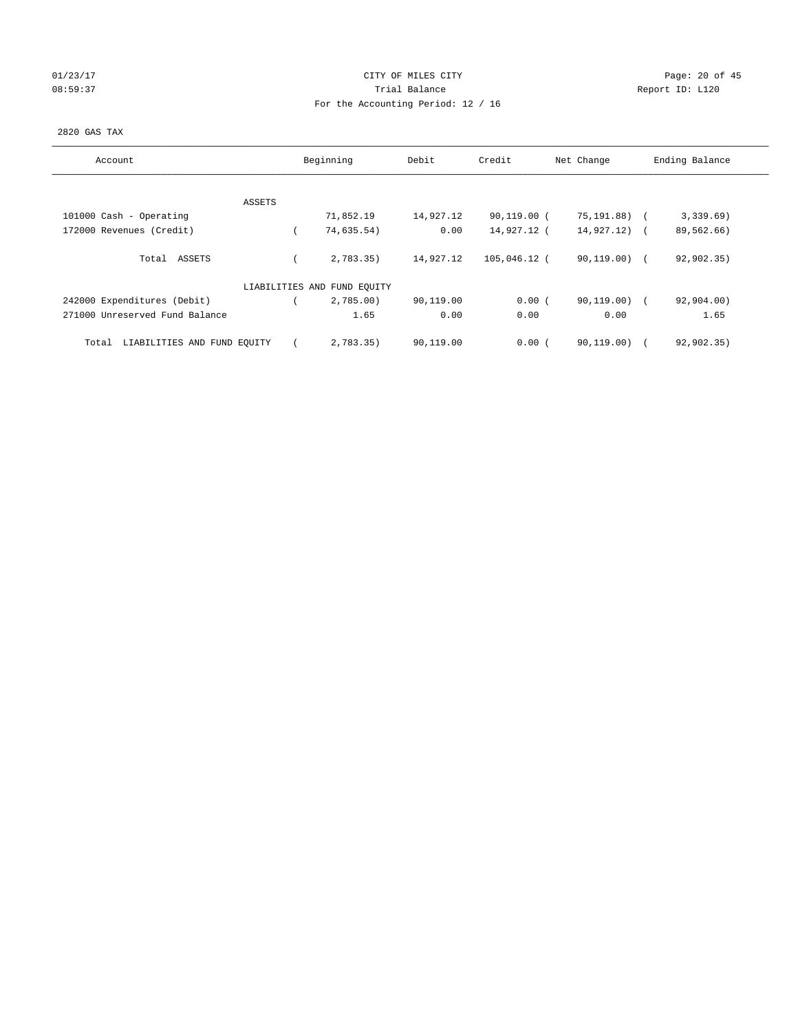## 01/23/17 Page: 20 of 45 08:59:37 Trial Balance Report ID: L120 For the Accounting Period: 12 / 16

## 2820 GAS TAX

| Account                              |        | Beginning                   | Debit     | Credit         | Net Change     | Ending Balance |
|--------------------------------------|--------|-----------------------------|-----------|----------------|----------------|----------------|
|                                      |        |                             |           |                |                |                |
|                                      | ASSETS |                             |           |                |                |                |
| 101000 Cash - Operating              |        | 71,852.19                   | 14,927.12 | $90, 119.00$ ( | 75,191.88)     | 3,339.69)      |
| 172000 Revenues (Credit)             |        | 74,635.54)                  | 0.00      | 14,927.12 (    | $14,927.12)$ ( | 89,562.66)     |
|                                      |        |                             |           |                |                |                |
| Total ASSETS                         |        | 2,783.35)                   | 14,927.12 | 105,046.12 (   | 90,119.00) (   | 92,902.35)     |
|                                      |        |                             |           |                |                |                |
|                                      |        | LIABILITIES AND FUND EQUITY |           |                |                |                |
| 242000 Expenditures (Debit)          |        | 2,785.00                    | 90,119.00 | 0.00(          | $90,119.00)$ ( | 92,904.00)     |
| 271000 Unreserved Fund Balance       |        | 1.65                        | 0.00      | 0.00           | 0.00           | 1.65           |
|                                      |        |                             |           |                |                |                |
| LIABILITIES AND FUND EQUITY<br>Total |        | 2,783.35)                   | 90,119.00 | 0.00(          | 90, 119.00)    | 92,902.35)     |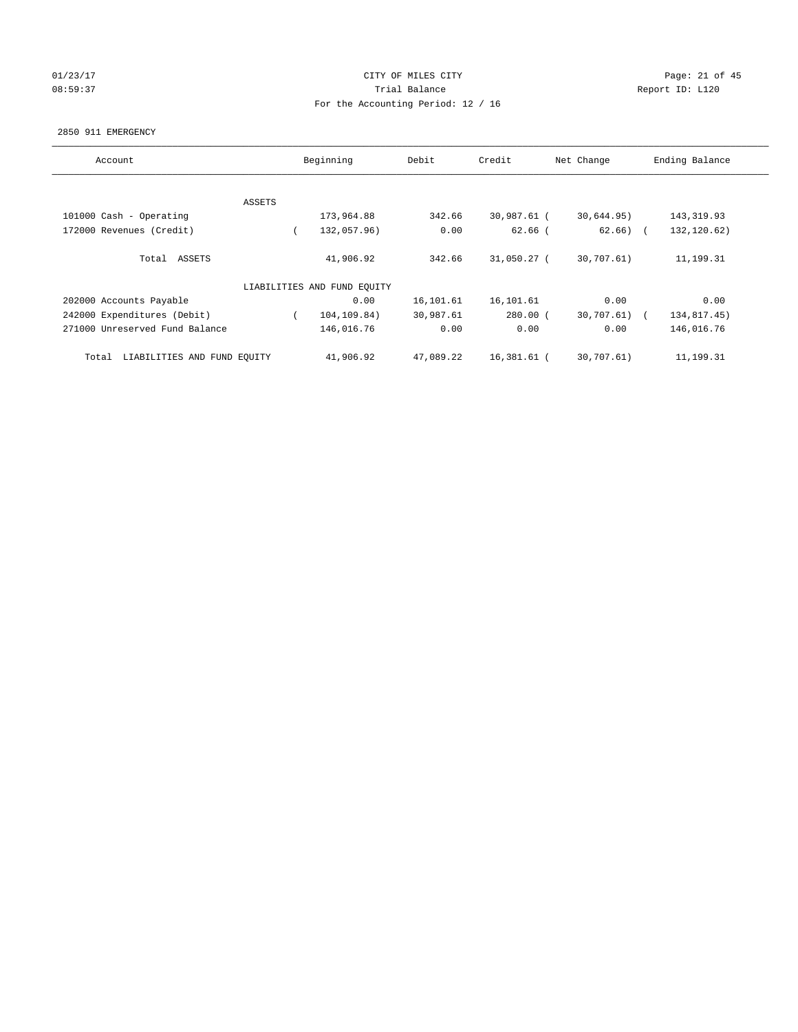## 01/23/17 Page: 21 of 45 08:59:37 CHERRY Trial Balance CHERRY Report ID: L120 For the Accounting Period: 12 / 16

#### 2850 911 EMERGENCY

| Account                              |        | Beginning                   | Debit     | Credit      | Net Change   | Ending Balance |
|--------------------------------------|--------|-----------------------------|-----------|-------------|--------------|----------------|
|                                      |        |                             |           |             |              |                |
|                                      | ASSETS |                             |           |             |              |                |
| 101000 Cash - Operating              |        | 173,964.88                  | 342.66    | 30,987.61 ( | 30,644.95)   | 143, 319.93    |
| 172000 Revenues (Credit)             |        | 132,057.96)                 | 0.00      | $62.66$ (   | $62.66$ ) (  | 132,120.62)    |
| Total ASSETS                         |        | 41,906.92                   | 342.66    | 31,050.27 ( | 30,707.61)   | 11,199.31      |
|                                      |        | LIABILITIES AND FUND EQUITY |           |             |              |                |
| 202000 Accounts Payable              |        | 0.00                        | 16,101.61 | 16,101.61   | 0.00         | 0.00           |
| 242000 Expenditures (Debit)          |        | 104,109.84)                 | 30,987.61 | $280.00$ (  | 30,707.61) ( | 134,817.45)    |
| 271000 Unreserved Fund Balance       |        | 146,016.76                  | 0.00      | 0.00        | 0.00         | 146,016.76     |
| LIABILITIES AND FUND EQUITY<br>Total |        | 41,906.92                   | 47,089.22 | 16,381.61 ( | 30,707.61)   | 11,199.31      |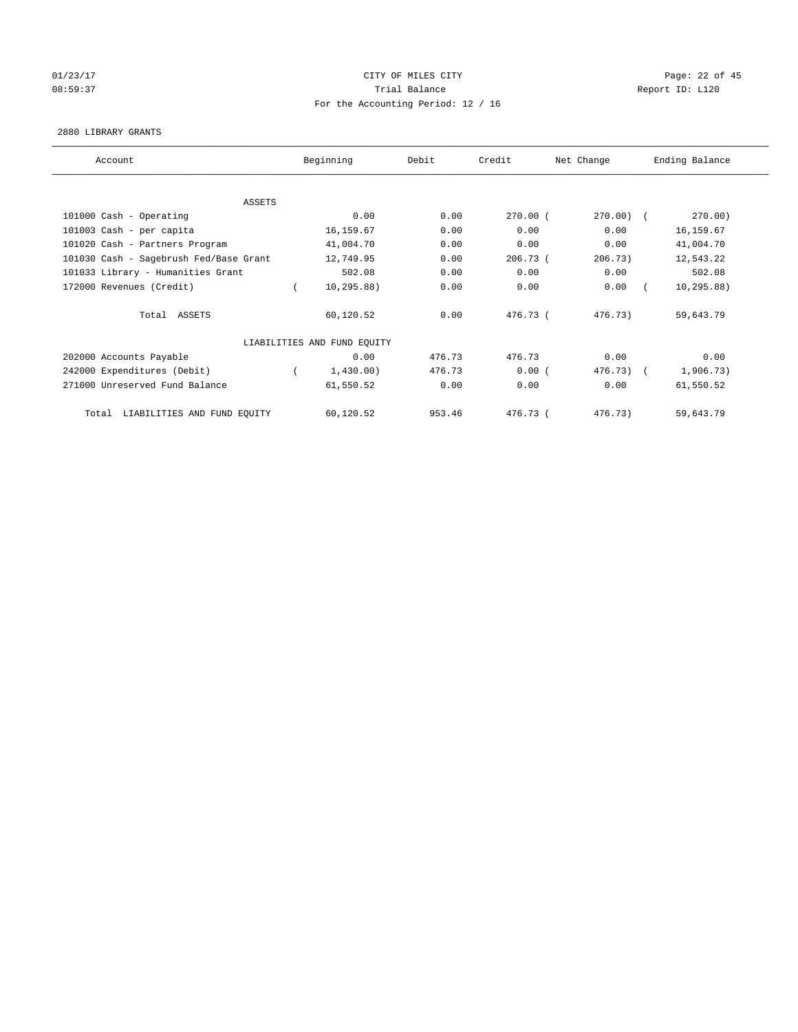# 01/23/17 Page: 22 of 45 08:59:37 Trial Balance Report ID: L120 For the Accounting Period: 12 / 16

## 2880 LIBRARY GRANTS

| Account                                | Beginning                   | Debit  | Credit     | Net Change   | Ending Balance |
|----------------------------------------|-----------------------------|--------|------------|--------------|----------------|
|                                        |                             |        |            |              |                |
| ASSETS                                 |                             |        |            |              |                |
| 101000 Cash - Operating                | 0.00                        | 0.00   | $270.00$ ( | $270.00$ ) ( | 270.00)        |
| 101003 Cash - per capita               | 16, 159.67                  | 0.00   | 0.00       | 0.00         | 16, 159.67     |
| 101020 Cash - Partners Program         | 41,004.70                   | 0.00   | 0.00       | 0.00         | 41,004.70      |
| 101030 Cash - Sagebrush Fed/Base Grant | 12,749.95                   | 0.00   | 206.73(    | 206.73)      | 12,543.22      |
| 101033 Library - Humanities Grant      | 502.08                      | 0.00   | 0.00       | 0.00         | 502.08         |
| 172000 Revenues (Credit)               | 10, 295.88)                 | 0.00   | 0.00       | 0.00         | 10, 295.88)    |
| Total ASSETS                           | 60,120.52                   | 0.00   | 476.73 (   | 476.73)      | 59,643.79      |
|                                        | LIABILITIES AND FUND EQUITY |        |            |              |                |
| 202000 Accounts Payable                | 0.00                        | 476.73 | 476.73     | 0.00         | 0.00           |
| 242000 Expenditures (Debit)            | 1,430.00)                   | 476.73 | 0.00(      | $476.73$ $($ | 1,906.73)      |
| 271000 Unreserved Fund Balance         | 61,550.52                   | 0.00   | 0.00       | 0.00         | 61,550.52      |
| LIABILITIES AND FUND EQUITY<br>Total   | 60,120.52                   | 953.46 | 476.73 (   | 476.73)      | 59,643.79      |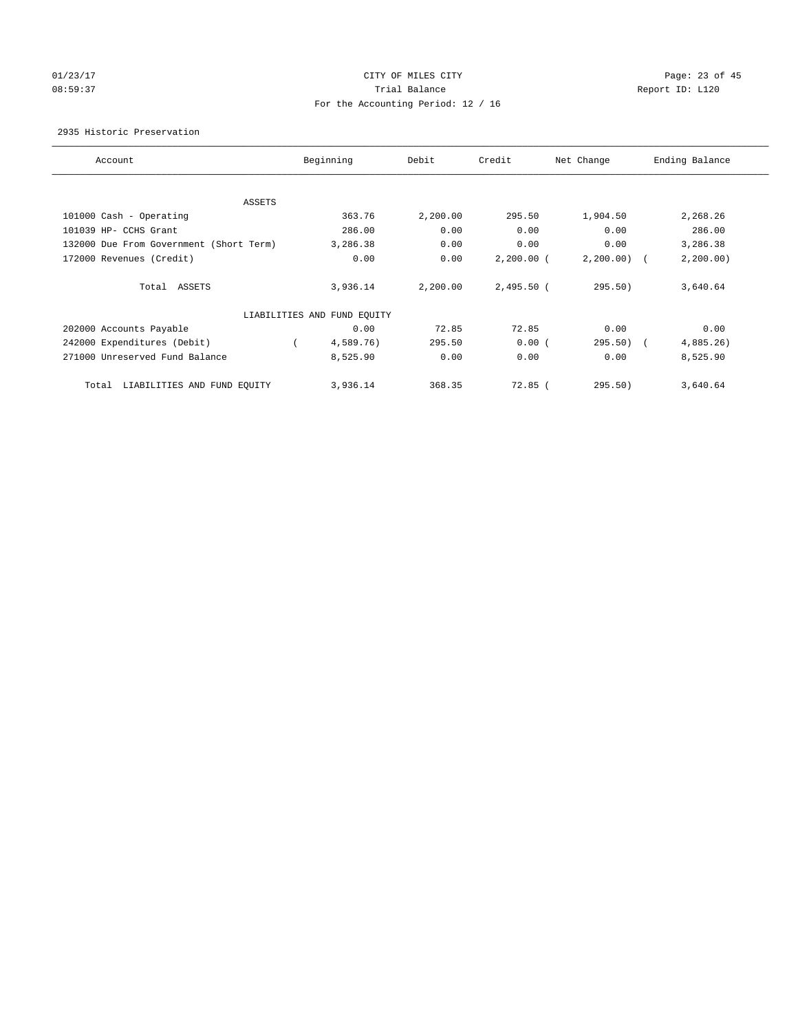# 01/23/17 Page: 23 of 45 08:59:37 CHERRY Trial Balance CHERRY Report ID: L120 For the Accounting Period: 12 / 16

2935 Historic Preservation

| Account                                 | Beginning                   | Debit    | Credit       | Net Change | Ending Balance |
|-----------------------------------------|-----------------------------|----------|--------------|------------|----------------|
| ASSETS                                  |                             |          |              |            |                |
| 101000 Cash - Operating                 | 363.76                      | 2,200.00 | 295.50       | 1,904.50   | 2,268.26       |
| 101039 HP- CCHS Grant                   | 286.00                      | 0.00     | 0.00         | 0.00       | 286.00         |
| 132000 Due From Government (Short Term) | 3,286.38                    | 0.00     | 0.00         | 0.00       | 3,286.38       |
| 172000 Revenues (Credit)                | 0.00                        | 0.00     | $2,200.00$ ( | 2, 200.00) | 2, 200.00)     |
| Total ASSETS                            | 3,936.14                    | 2,200.00 | $2,495.50$ ( | 295.50)    | 3,640.64       |
|                                         | LIABILITIES AND FUND EQUITY |          |              |            |                |
| 202000 Accounts Payable                 | 0.00                        | 72.85    | 72.85        | 0.00       | 0.00           |
| 242000 Expenditures (Debit)             | 4,589.76)                   | 295.50   | 0.00(        | $295.50$ ( | 4,885.26)      |
| 271000 Unreserved Fund Balance          | 8,525.90                    | 0.00     | 0.00         | 0.00       | 8,525.90       |
| LIABILITIES AND FUND EQUITY<br>Total    | 3,936.14                    | 368.35   | $72.85$ (    | 295.50)    | 3,640.64       |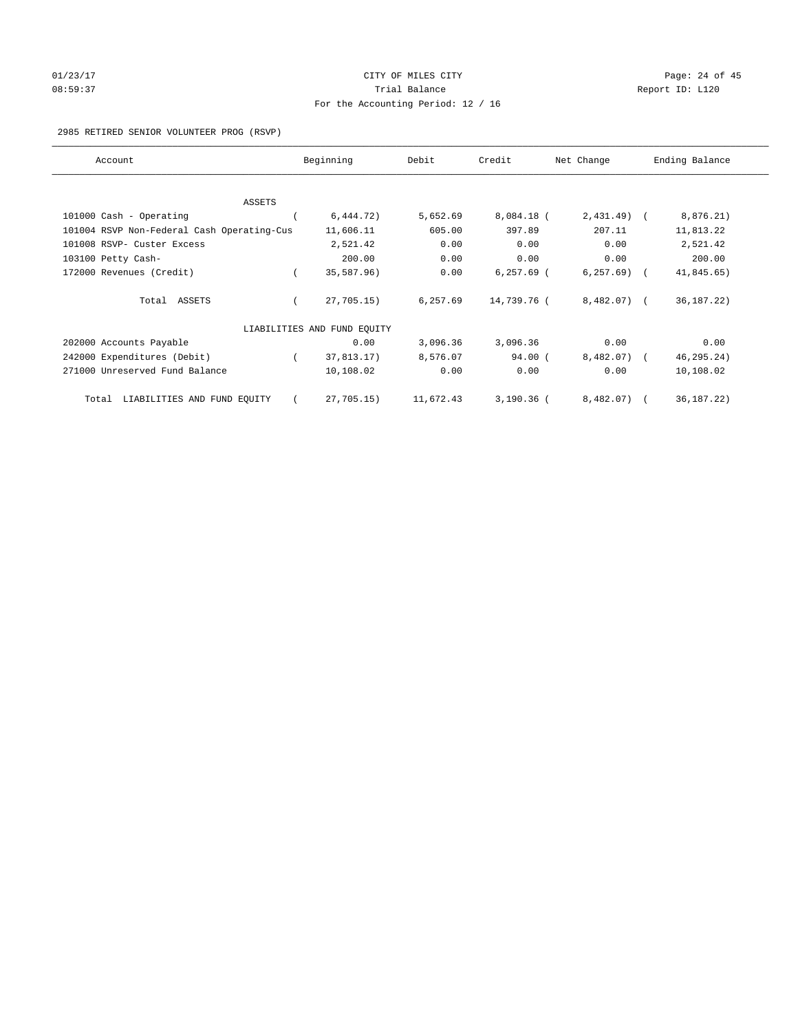# $O1/23/17$  Page: 24 of 45 08:59:37 Trial Balance Report ID: L120 For the Accounting Period: 12 / 16

2985 RETIRED SENIOR VOLUNTEER PROG (RSVP)

| Account                                    | Beginning                   | Debit     | Credit        | Net Change   | Ending Balance |
|--------------------------------------------|-----------------------------|-----------|---------------|--------------|----------------|
|                                            |                             |           |               |              |                |
| <b>ASSETS</b><br>101000 Cash - Operating   | 6,444.72)                   | 5,652.69  | 8,084.18 (    | $2,431.49$ ( | 8,876.21)      |
|                                            |                             |           |               |              |                |
| 101004 RSVP Non-Federal Cash Operating-Cus | 11,606.11                   | 605.00    | 397.89        | 207.11       | 11,813.22      |
| 101008 RSVP- Custer Excess                 | 2,521.42                    | 0.00      | 0.00          | 0.00         | 2,521.42       |
| 103100 Petty Cash-                         | 200.00                      | 0.00      | 0.00          | 0.00         | 200.00         |
| 172000 Revenues (Credit)                   | 35,587.96)                  | 0.00      | $6, 257.69$ ( | 6, 257.69)   | 41,845.65)     |
| Total ASSETS                               | 27,705.15)                  | 6,257.69  | 14,739.76 (   | $8,482.07$ ( | 36, 187. 22)   |
|                                            | LIABILITIES AND FUND EOUITY |           |               |              |                |
| 202000 Accounts Payable                    | 0.00                        | 3,096.36  | 3,096.36      | 0.00         | 0.00           |
| 242000 Expenditures (Debit)                | 37,813.17)                  | 8,576.07  | $94.00$ (     | 8,482.07)    | 46, 295.24)    |
| 271000 Unreserved Fund Balance             | 10,108.02                   | 0.00      | 0.00          | 0.00         | 10,108.02      |
| LIABILITIES AND FUND EQUITY<br>Total       | 27,705.15)                  | 11,672.43 | $3,190.36$ (  | 8,482.07)    | 36, 187. 22)   |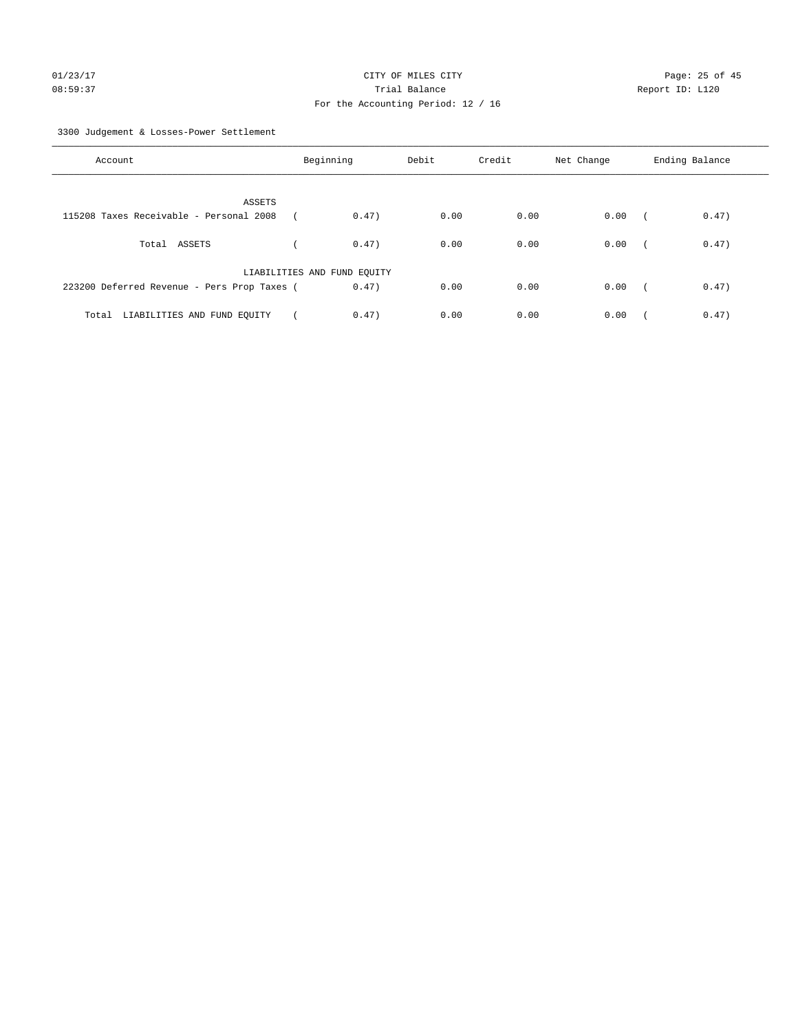# 01/23/17 Page: 25 of 45 08:59:37 Trial Balance Trial Balance Report ID: L120 For the Accounting Period: 12 / 16

3300 Judgement & Losses-Power Settlement

| Account                                     | Beginning                   | Debit | Credit | Net Change | Ending Balance                    |
|---------------------------------------------|-----------------------------|-------|--------|------------|-----------------------------------|
| ASSETS                                      |                             |       |        |            |                                   |
| 115208 Taxes Receivable - Personal 2008     | 0.47)                       | 0.00  | 0.00   | 0.00       | 0.47)<br>$\overline{\phantom{a}}$ |
| Total ASSETS                                | 0.47)                       | 0.00  | 0.00   | 0.00       | 0.47)<br>$\sim$ $\sim$ $\sim$     |
|                                             | LIABILITIES AND FUND EQUITY |       |        |            |                                   |
| 223200 Deferred Revenue - Pers Prop Taxes ( | 0.47)                       | 0.00  | 0.00   | 0.00       | 0.47)<br>$\sqrt{2}$               |
| Total LIABILITIES AND FUND EOUITY           | 0.47)                       | 0.00  | 0.00   | 0.00       | 0.47)                             |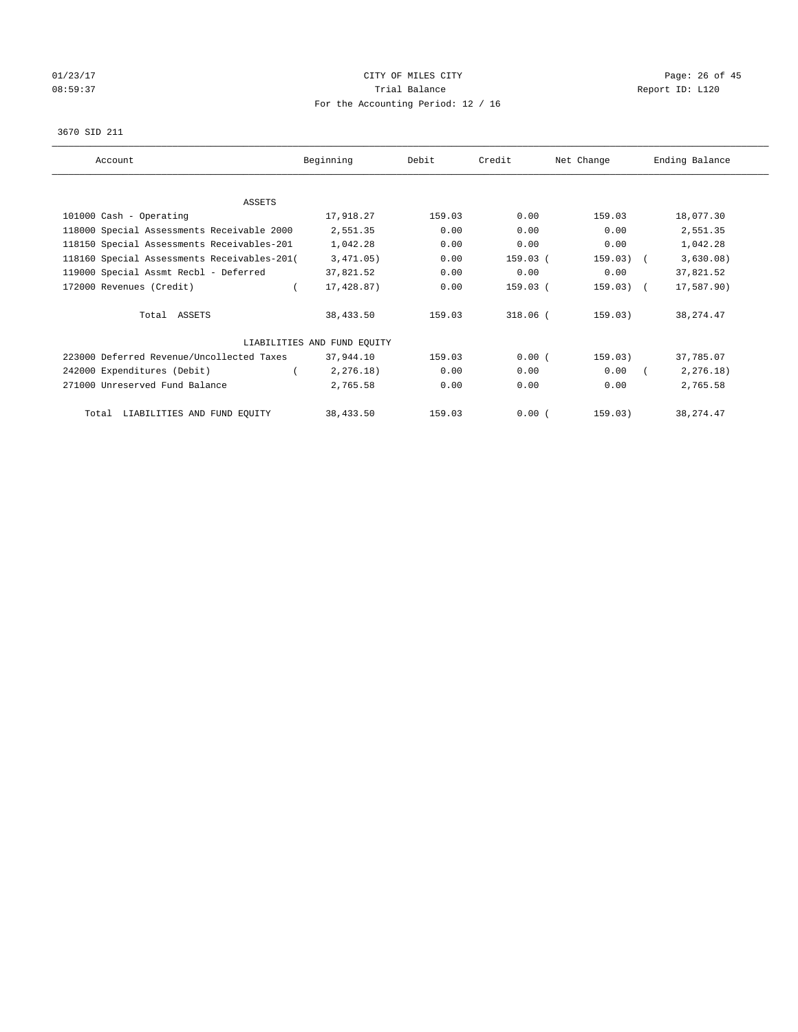# $O1/23/17$  Page: 26 of 45 08:59:37 CHERRY Trial Balance CHERRY Report ID: L120 For the Accounting Period: 12 / 16

#### 3670 SID 211

| Account                                     | Beginning                   | Debit  | Credit   | Net Change  | Ending Balance |
|---------------------------------------------|-----------------------------|--------|----------|-------------|----------------|
|                                             |                             |        |          |             |                |
| ASSETS                                      |                             |        |          |             |                |
| 101000 Cash - Operating                     | 17,918.27                   | 159.03 | 0.00     | 159.03      | 18,077.30      |
| 118000 Special Assessments Receivable 2000  | 2,551.35                    | 0.00   | 0.00     | 0.00        | 2,551.35       |
| 118150 Special Assessments Receivables-201  | 1,042.28                    | 0.00   | 0.00     | 0.00        | 1,042.28       |
| 118160 Special Assessments Receivables-201( | 3,471.05)                   | 0.00   | 159.03 ( | $159.03)$ ( | 3,630.08)      |
| 119000 Special Assmt Recbl - Deferred       | 37,821.52                   | 0.00   | 0.00     | 0.00        | 37,821.52      |
| 172000 Revenues (Credit)                    | 17,428.87)                  | 0.00   | 159.03 ( | $159.03)$ ( | 17,587.90)     |
| Total ASSETS                                | 38,433.50                   | 159.03 | 318.06 ( | 159.03)     | 38, 274.47     |
|                                             | LIABILITIES AND FUND EQUITY |        |          |             |                |
| 223000 Deferred Revenue/Uncollected Taxes   | 37,944.10                   | 159.03 | 0.00(    | 159.03)     | 37,785.07      |
| 242000 Expenditures (Debit)                 | 2, 276.18)                  | 0.00   | 0.00     | 0.00        | 2, 276.18)     |
| 271000 Unreserved Fund Balance              | 2,765.58                    | 0.00   | 0.00     | 0.00        | 2,765.58       |
| Total LIABILITIES AND FUND EQUITY           | 38,433.50                   | 159.03 | 0.00(    | 159.03)     | 38, 274.47     |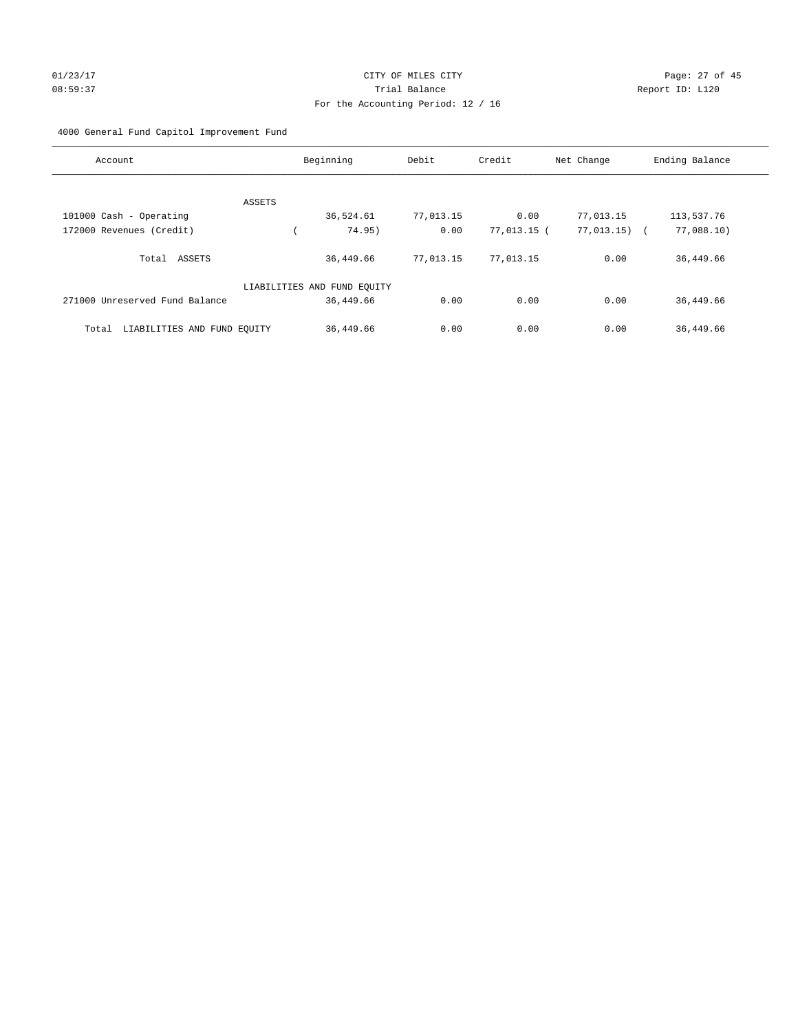# 01/23/17 Page: 27 of 45 08:59:37 Trial Balance Report ID: L120 For the Accounting Period: 12 / 16

## 4000 General Fund Capitol Improvement Fund

| Account                              | Beginning                   | Debit     | Credit      | Net Change     | Ending Balance |
|--------------------------------------|-----------------------------|-----------|-------------|----------------|----------------|
|                                      |                             |           |             |                |                |
| ASSETS                               |                             |           |             |                |                |
| 101000 Cash - Operating              | 36,524.61                   | 77,013.15 | 0.00        | 77,013.15      | 113,537.76     |
| 172000 Revenues (Credit)             | 74.95)                      | 0.00      | 77,013.15 ( | $77,013.15)$ ( | 77,088.10)     |
| Total<br>ASSETS                      | 36,449.66                   | 77,013.15 | 77,013.15   | 0.00           | 36,449.66      |
|                                      | LIABILITIES AND FUND EQUITY |           |             |                |                |
| 271000 Unreserved Fund Balance       | 36,449.66                   | 0.00      | 0.00        | 0.00           | 36,449.66      |
| LIABILITIES AND FUND EQUITY<br>Total | 36,449.66                   | 0.00      | 0.00        | 0.00           | 36,449.66      |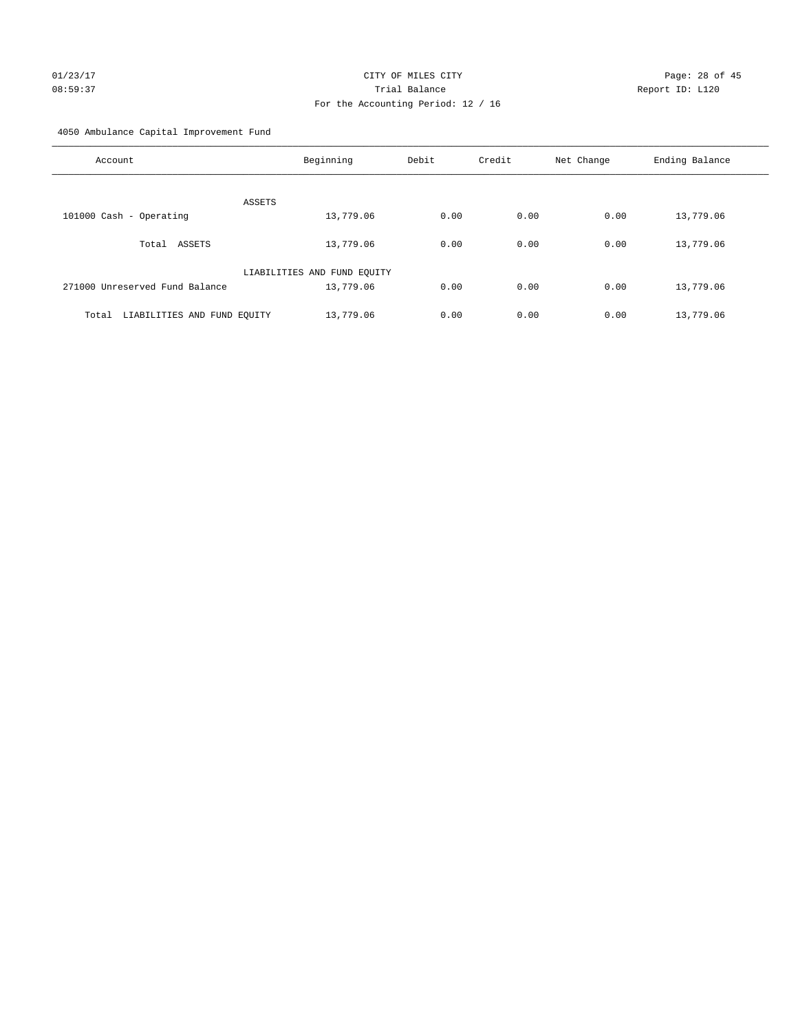# 01/23/17 Page: 28 of 45 08:59:37 Trial Balance Report ID: L120 For the Accounting Period: 12 / 16

4050 Ambulance Capital Improvement Fund

| Account                              | Beginning                   | Debit | Credit | Net Change | Ending Balance |
|--------------------------------------|-----------------------------|-------|--------|------------|----------------|
| <b>ASSETS</b>                        |                             |       |        |            |                |
| 101000 Cash - Operating              | 13,779.06                   | 0.00  | 0.00   | 0.00       | 13,779.06      |
| Total ASSETS                         | 13,779.06                   | 0.00  | 0.00   | 0.00       | 13,779.06      |
|                                      | LIABILITIES AND FUND EQUITY |       |        |            |                |
| 271000 Unreserved Fund Balance       | 13,779.06                   | 0.00  | 0.00   | 0.00       | 13,779.06      |
| LIABILITIES AND FUND EQUITY<br>Total | 13,779.06                   | 0.00  | 0.00   | 0.00       | 13,779.06      |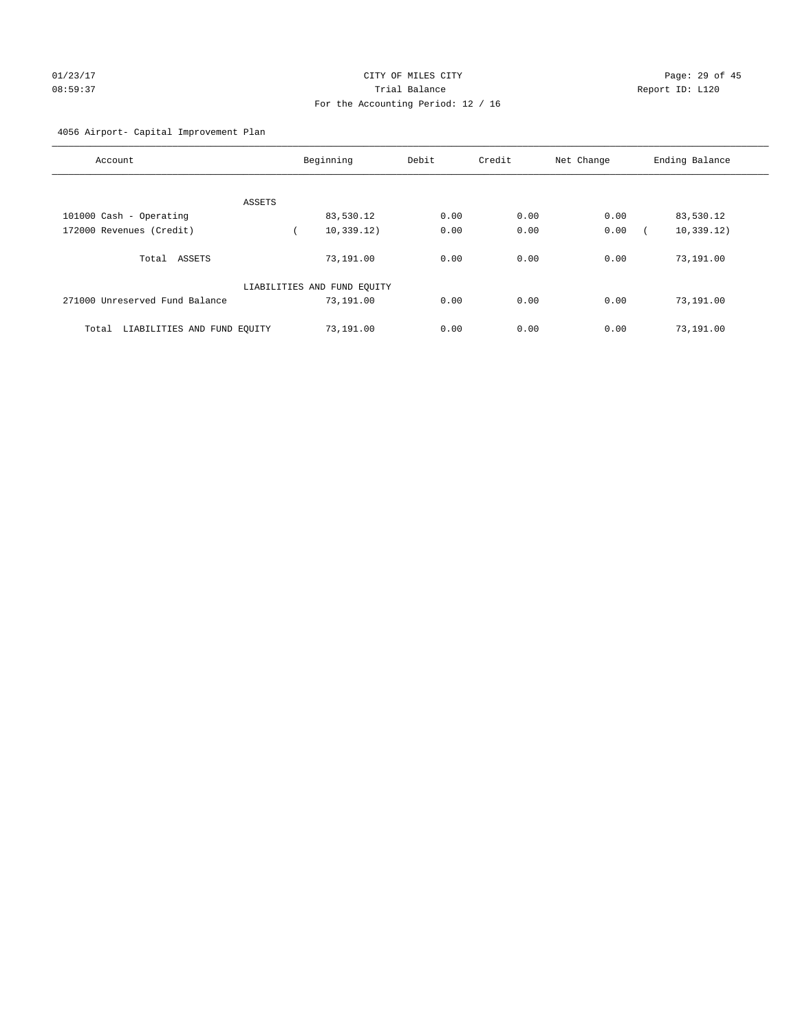# 01/23/17 Page: 29 of 45 08:59:37 Trial Balance Report ID: L120 For the Accounting Period: 12 / 16

## 4056 Airport- Capital Improvement Plan

| Account                              | Beginning                   | Debit | Credit | Net Change | Ending Balance |
|--------------------------------------|-----------------------------|-------|--------|------------|----------------|
|                                      |                             |       |        |            |                |
| ASSETS                               |                             |       |        |            |                |
| 101000 Cash - Operating              | 83,530.12                   | 0.00  | 0.00   | 0.00       | 83,530.12      |
| 172000 Revenues (Credit)             | 10, 339.12)                 | 0.00  | 0.00   | 0.00       | 10, 339.12)    |
| ASSETS<br>Total                      | 73,191.00                   | 0.00  | 0.00   | 0.00       | 73,191.00      |
|                                      | LIABILITIES AND FUND EQUITY |       |        |            |                |
| 271000 Unreserved Fund Balance       | 73,191.00                   | 0.00  | 0.00   | 0.00       | 73,191.00      |
| LIABILITIES AND FUND EQUITY<br>Total | 73,191.00                   | 0.00  | 0.00   | 0.00       | 73,191.00      |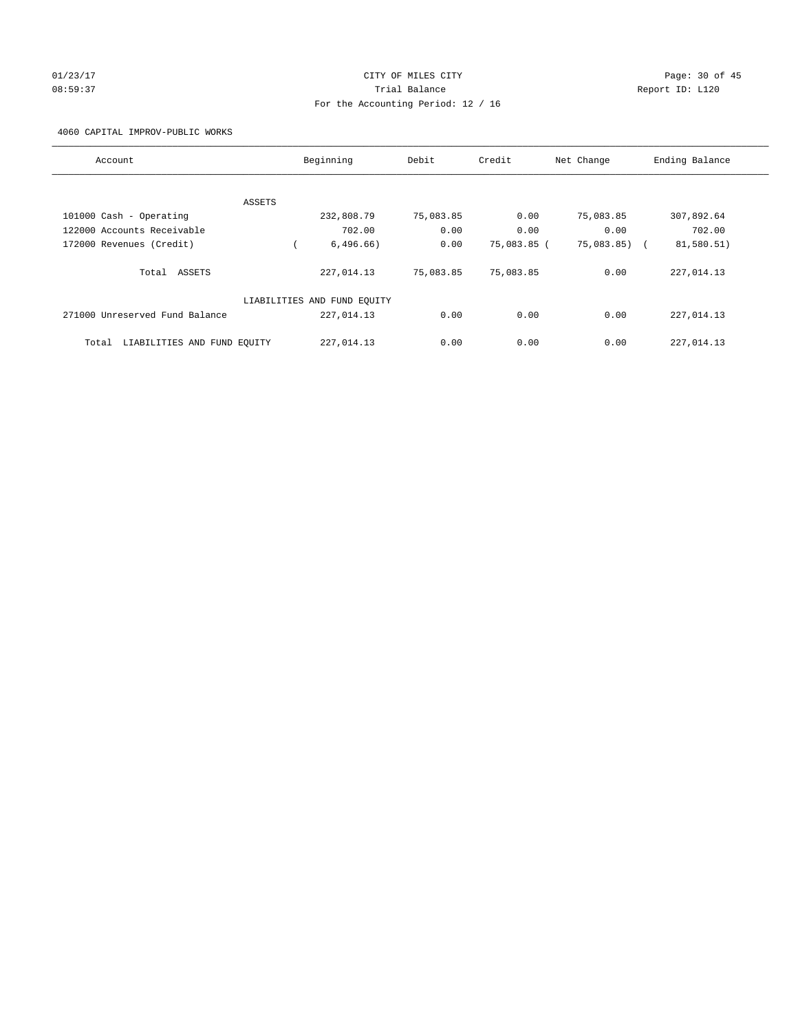# 01/23/17 Page: 30 of 45 08:59:37 Trial Balance Report ID: L120 For the Accounting Period: 12 / 16

4060 CAPITAL IMPROV-PUBLIC WORKS

| Account                              |        | Beginning                   | Debit     | Credit      | Net Change | Ending Balance |
|--------------------------------------|--------|-----------------------------|-----------|-------------|------------|----------------|
|                                      |        |                             |           |             |            |                |
|                                      | ASSETS |                             |           |             |            |                |
| 101000 Cash - Operating              |        | 232,808.79                  | 75,083.85 | 0.00        | 75,083.85  | 307,892.64     |
| 122000 Accounts Receivable           |        | 702.00                      | 0.00      | 0.00        | 0.00       | 702.00         |
| 172000 Revenues (Credit)             |        | 6,496.66)                   | 0.00      | 75,083.85 ( | 75,083.85) | 81,580.51)     |
| Total ASSETS                         |        | 227,014.13                  | 75,083.85 | 75,083.85   | 0.00       | 227,014.13     |
|                                      |        | LIABILITIES AND FUND EQUITY |           |             |            |                |
| 271000 Unreserved Fund Balance       |        | 227,014.13                  | 0.00      | 0.00        | 0.00       | 227,014.13     |
| LIABILITIES AND FUND EQUITY<br>Total |        | 227,014.13                  | 0.00      | 0.00        | 0.00       | 227,014.13     |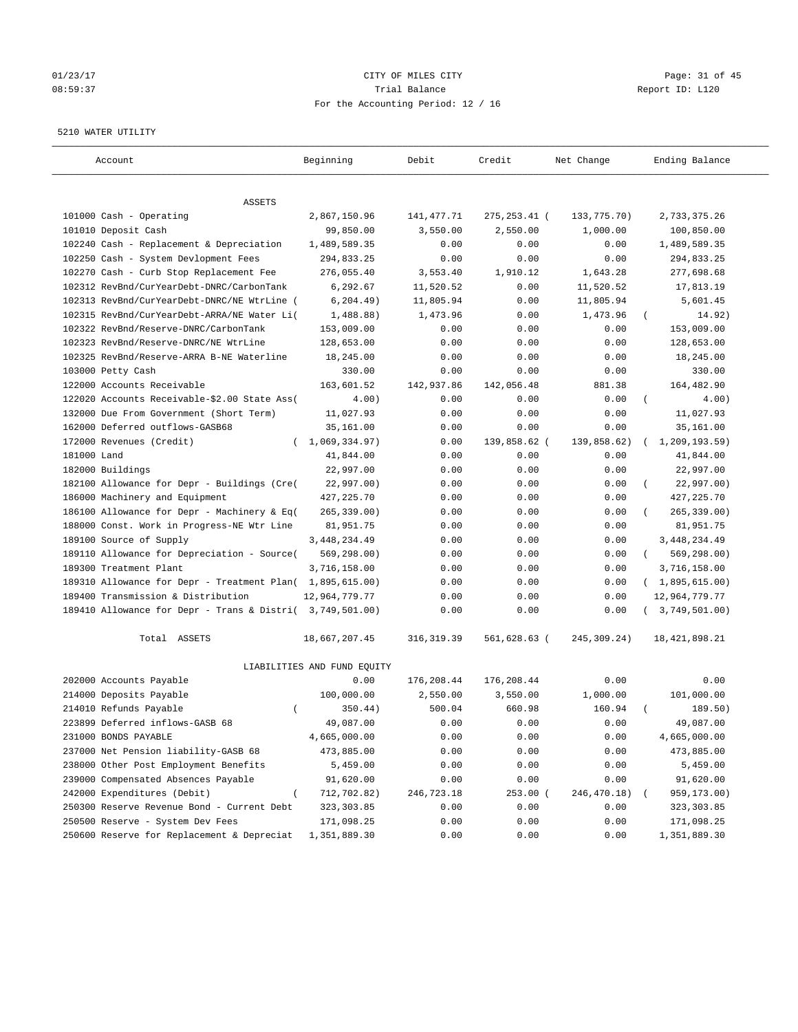## 01/23/17 Page: 31 of 45 08:59:37 Trial Balance Report ID: L120 For the Accounting Period: 12 / 16

#### 5210 WATER UTILITY

| Account                                                   | Beginning                   | Debit       | Credit         | Net Change  | Ending Balance          |
|-----------------------------------------------------------|-----------------------------|-------------|----------------|-------------|-------------------------|
| ASSETS                                                    |                             |             |                |             |                         |
| 101000 Cash - Operating                                   | 2,867,150.96                | 141, 477.71 | 275, 253. 41 ( | 133,775.70) | 2,733,375.26            |
| 101010 Deposit Cash                                       | 99,850.00                   | 3,550.00    | 2,550.00       | 1,000.00    | 100,850.00              |
| 102240 Cash - Replacement & Depreciation                  | 1,489,589.35                | 0.00        | 0.00           | 0.00        | 1,489,589.35            |
| 102250 Cash - System Devlopment Fees                      | 294,833.25                  | 0.00        | 0.00           | 0.00        | 294,833.25              |
| 102270 Cash - Curb Stop Replacement Fee                   | 276,055.40                  | 3,553.40    | 1,910.12       | 1,643.28    | 277,698.68              |
| 102312 RevBnd/CurYearDebt-DNRC/CarbonTank                 | 6,292.67                    | 11,520.52   | 0.00           | 11,520.52   | 17,813.19               |
| 102313 RevBnd/CurYearDebt-DNRC/NE WtrLine (               | 6, 204.49)                  | 11,805.94   | 0.00           | 11,805.94   | 5,601.45                |
| 102315 RevBnd/CurYearDebt-ARRA/NE Water Li(               | 1,488.88)                   | 1,473.96    | 0.00           | 1,473.96    | 14.92)                  |
| 102322 RevBnd/Reserve-DNRC/CarbonTank                     | 153,009.00                  | 0.00        | 0.00           | 0.00        | 153,009.00              |
| 102323 RevBnd/Reserve-DNRC/NE WtrLine                     | 128,653.00                  | 0.00        | 0.00           | 0.00        | 128,653.00              |
| 102325 RevBnd/Reserve-ARRA B-NE Waterline                 | 18,245.00                   | 0.00        | 0.00           | 0.00        | 18,245.00               |
| 103000 Petty Cash                                         | 330.00                      | 0.00        | 0.00           | 0.00        | 330.00                  |
| 122000 Accounts Receivable                                | 163,601.52                  | 142,937.86  | 142,056.48     | 881.38      | 164,482.90              |
| 122020 Accounts Receivable-\$2.00 State Ass(              | 4.00)                       | 0.00        | 0.00           | 0.00        | $\left($<br>4.00)       |
| 132000 Due From Government (Short Term)                   | 11,027.93                   | 0.00        | 0.00           | 0.00        | 11,027.93               |
| 162000 Deferred outflows-GASB68                           | 35,161.00                   | 0.00        | 0.00           | 0.00        | 35,161.00               |
| 172000 Revenues (Credit)<br>$\left($                      | 1,069,334.97)               | 0.00        | 139,858.62 (   | 139,858.62) | 1,209,193.59)           |
| 181000 Land                                               | 41,844.00                   | 0.00        | 0.00           | 0.00        | 41,844.00               |
| 182000 Buildings                                          | 22,997.00                   | 0.00        | 0.00           | 0.00        | 22,997.00               |
| 182100 Allowance for Depr - Buildings (Cre(               | 22,997.00)                  | 0.00        | 0.00           | 0.00        | 22,997.00)              |
| 186000 Machinery and Equipment                            | 427, 225.70                 | 0.00        | 0.00           | 0.00        | 427, 225.70             |
| 186100 Allowance for Depr - Machinery & Eq(               | 265, 339.00)                | 0.00        | 0.00           | 0.00        | $265, 339.00$ )         |
| 188000 Const. Work in Progress-NE Wtr Line                | 81,951.75                   | 0.00        | 0.00           | 0.00        | 81,951.75               |
| 189100 Source of Supply                                   | 3, 448, 234.49              | 0.00        | 0.00           | 0.00        | 3,448,234.49            |
| 189110 Allowance for Depreciation - Source(               | 569,298.00)                 | 0.00        | 0.00           | 0.00        | 569,298.00)<br>$\left($ |
| 189300 Treatment Plant                                    | 3,716,158.00                | 0.00        | 0.00           | 0.00        | 3,716,158.00            |
| 189310 Allowance for Depr - Treatment Plan(               | 1,895,615.00)               | 0.00        | 0.00           | 0.00        | (1,895,615.00)          |
| 189400 Transmission & Distribution                        | 12,964,779.77               | 0.00        | 0.00           | 0.00        | 12,964,779.77           |
| 189410 Allowance for Depr - Trans & Distri( 3,749,501.00) |                             | 0.00        | 0.00           | 0.00        | 3,749,501.00)           |
| Total ASSETS                                              | 18,667,207.45               | 316, 319.39 | 561,628.63 (   | 245,309.24) | 18, 421, 898.21         |
|                                                           | LIABILITIES AND FUND EQUITY |             |                |             |                         |
| 202000 Accounts Payable                                   | 0.00                        | 176,208.44  | 176,208.44     | 0.00        | 0.00                    |
| 214000 Deposits Payable                                   | 100,000.00                  | 2,550.00    | 3,550.00       | 1,000.00    | 101,000.00              |
| 214010 Refunds Payable<br>$\left($                        | 350.44)                     | 500.04      | 660.98         | 160.94      | 189.50)                 |
| 223899 Deferred inflows-GASB 68                           | 49,087.00                   | 0.00        | 0.00           | 0.00        | 49,087.00               |
| 231000 BONDS PAYABLE                                      | 4,665,000.00                | 0.00        | 0.00           | 0.00        | 4,665,000.00            |
| 237000 Net Pension liability-GASB 68                      | 473,885.00                  | 0.00        | 0.00           | 0.00        | 473,885.00              |
| 238000 Other Post Employment Benefits                     | 5,459.00                    | 0.00        | 0.00           | 0.00        | 5,459.00                |
| 239000 Compensated Absences Payable                       | 91,620.00                   | 0.00        | 0.00           | 0.00        | 91,620.00               |
| 242000 Expenditures (Debit)                               | 712,702.82)                 | 246,723.18  | 253.00 (       | 246,470.18) | 959,173.00)             |
| 250300 Reserve Revenue Bond - Current Debt                | 323, 303.85                 | 0.00        | 0.00           | 0.00        | 323, 303.85             |
| 250500 Reserve - System Dev Fees                          | 171,098.25                  | 0.00        | 0.00           | 0.00        | 171,098.25              |
| 250600 Reserve for Replacement & Depreciat                | 1,351,889.30                | 0.00        | 0.00           | 0.00        | 1,351,889.30            |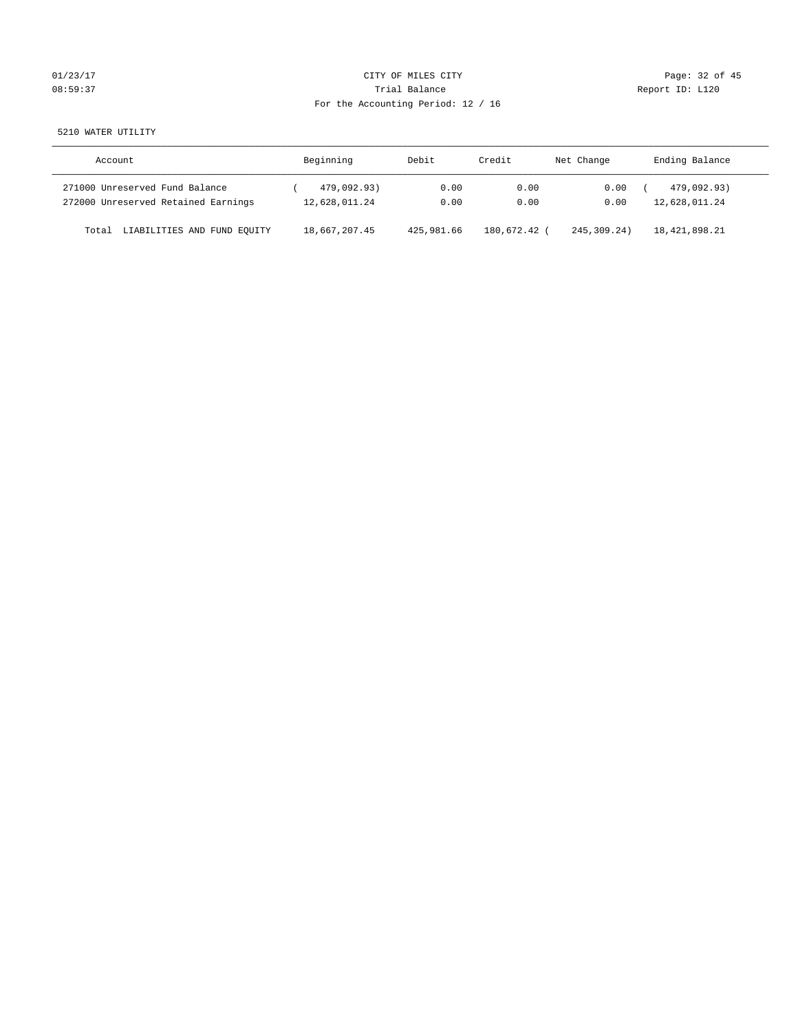# $CITY$  OF MILES  $CITY$  and  $CITY$  and  $Page: 32 of 45$ 08:59:37 Trial Balance Trial Balance Report ID: L120 For the Accounting Period: 12 / 16

5210 WATER UTILITY

| Account                              | Beginning     | Debit      | Credit     | Net Change  | Ending Balance |
|--------------------------------------|---------------|------------|------------|-------------|----------------|
| 271000 Unreserved Fund Balance       | 479,092.93)   | 0.00       | 0.00       | 0.00        | 479,092.93)    |
| 272000 Unreserved Retained Earnings  | 12,628,011.24 | 0.00       | 0.00       | 0.00        | 12,628,011.24  |
| LIABILITIES AND FUND EQUITY<br>Total | 18,667,207.45 | 425,981.66 | 180,672.42 | 245,309.24) | 18,421,898.21  |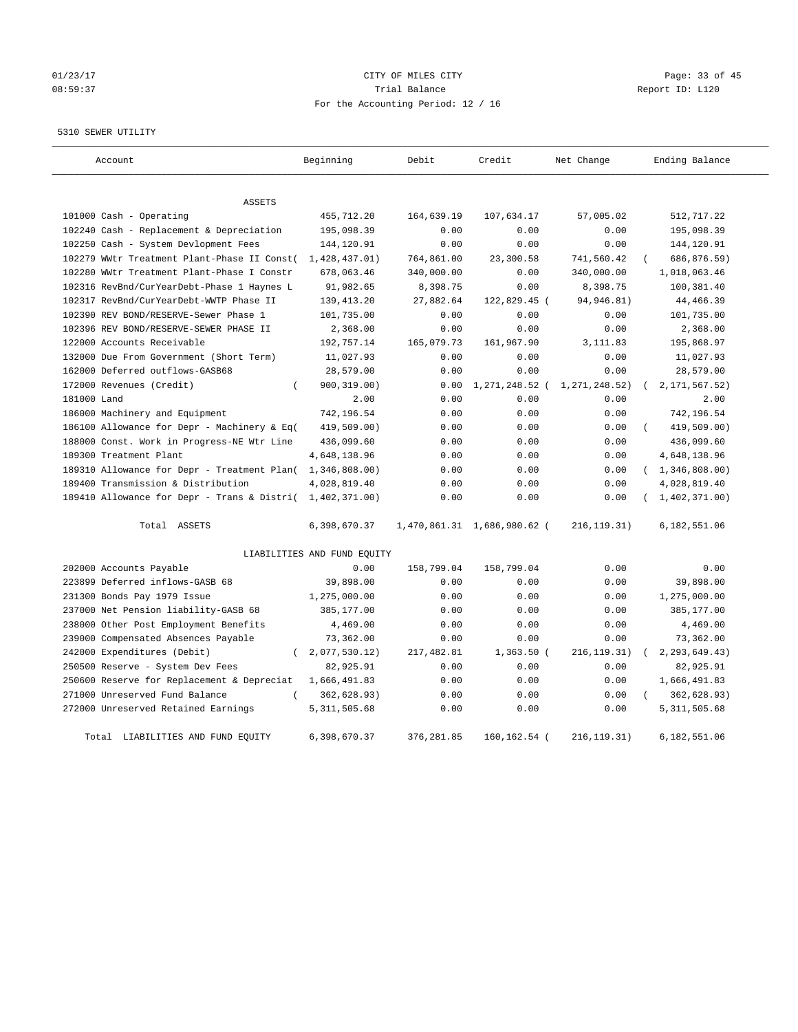# 01/23/17 Page: 33 of 45 08:59:37 CHERRY Trial Balance CHERRY Report ID: L120 For the Accounting Period: 12 / 16

## 5310 SEWER UTILITY

| Account                                     | Beginning                   | Debit       | Credit                      | Net Change      | Ending Balance    |
|---------------------------------------------|-----------------------------|-------------|-----------------------------|-----------------|-------------------|
| <b>ASSETS</b>                               |                             |             |                             |                 |                   |
| 101000 Cash - Operating                     | 455,712.20                  | 164,639.19  | 107,634.17                  | 57,005.02       | 512,717.22        |
| 102240 Cash - Replacement & Depreciation    | 195,098.39                  | 0.00        | 0.00                        | 0.00            | 195,098.39        |
| 102250 Cash - System Devlopment Fees        | 144,120.91                  | 0.00        | 0.00                        | 0.00            | 144,120.91        |
| 102279 WWtr Treatment Plant-Phase II Const( | 1,428,437.01)               | 764,861.00  | 23,300.58                   | 741,560.42      | 686,876.59)       |
| 102280 WWtr Treatment Plant-Phase I Constr  | 678,063.46                  | 340,000.00  | 0.00                        | 340,000.00      | 1,018,063.46      |
| 102316 RevBnd/CurYearDebt-Phase 1 Haynes L  | 91,982.65                   | 8,398.75    | 0.00                        | 8,398.75        | 100,381.40        |
| 102317 RevBnd/CurYearDebt-WWTP Phase II     | 139, 413. 20                | 27,882.64   | 122,829.45 (                | 94, 946.81)     | 44, 466.39        |
| 102390 REV BOND/RESERVE-Sewer Phase 1       | 101,735.00                  | 0.00        | 0.00                        | 0.00            | 101,735.00        |
| 102396 REV BOND/RESERVE-SEWER PHASE II      | 2,368.00                    | 0.00        | 0.00                        | 0.00            | 2,368.00          |
| 122000 Accounts Receivable                  | 192,757.14                  | 165,079.73  | 161,967.90                  | 3, 111.83       | 195,868.97        |
| 132000 Due From Government (Short Term)     | 11,027.93                   | 0.00        | 0.00                        | 0.00            | 11,027.93         |
| 162000 Deferred outflows-GASB68             | 28,579.00                   | 0.00        | 0.00                        | 0.00            | 28,579.00         |
| 172000 Revenues (Credit)<br>$\left($        | 900, 319.00)                | 0.00        | 1,271,248.52                | 1, 271, 248.52) | 2, 171, 567.52)   |
| 181000 Land                                 | 2.00                        | 0.00        | 0.00                        | 0.00            | 2.00              |
| 186000 Machinery and Equipment              | 742,196.54                  | 0.00        | 0.00                        | 0.00            | 742,196.54        |
| 186100 Allowance for Depr - Machinery & Eq( | 419,509.00)                 | 0.00        | 0.00                        | 0.00            | 419,509.00)       |
| 188000 Const. Work in Progress-NE Wtr Line  | 436,099.60                  | 0.00        | 0.00                        | 0.00            | 436,099.60        |
| 189300 Treatment Plant                      | 4,648,138.96                | 0.00        | 0.00                        | 0.00            | 4,648,138.96      |
| 189310 Allowance for Depr - Treatment Plan( | 1,346,808.00)               | 0.00        | 0.00                        | 0.00            | (1, 346, 808.00)  |
| 189400 Transmission & Distribution          | 4,028,819.40                | 0.00        | 0.00                        | 0.00            | 4,028,819.40      |
| 189410 Allowance for Depr - Trans & Distri( | 1,402,371.00)               | 0.00        | 0.00                        | 0.00            | (1, 402, 371, 00) |
| Total ASSETS                                | 6,398,670.37                |             | 1,470,861.31 1,686,980.62 ( | 216, 119.31)    | 6,182,551.06      |
|                                             | LIABILITIES AND FUND EQUITY |             |                             |                 |                   |
| 202000 Accounts Payable                     | 0.00                        | 158,799.04  | 158,799.04                  | 0.00            | 0.00              |
| 223899 Deferred inflows-GASB 68             | 39,898.00                   | 0.00        | 0.00                        | 0.00            | 39,898.00         |
| 231300 Bonds Pay 1979 Issue                 | 1,275,000.00                | 0.00        | 0.00                        | 0.00            | 1,275,000.00      |
| 237000 Net Pension liability-GASB 68        | 385,177.00                  | 0.00        | 0.00                        | 0.00            | 385,177.00        |
| 238000 Other Post Employment Benefits       | 4,469.00                    | 0.00        | 0.00                        | 0.00            | 4,469.00          |
| 239000 Compensated Absences Payable         | 73,362.00                   | 0.00        | 0.00                        | 0.00            | 73,362.00         |
| 242000 Expenditures (Debit)<br>$\left($     | 2,077,530.12)               | 217,482.81  | $1,363.50$ (                | 216, 119. 31)   | 2, 293, 649.43)   |
| 250500 Reserve - System Dev Fees            | 82,925.91                   | 0.00        | 0.00                        | 0.00            | 82,925.91         |
| 250600 Reserve for Replacement & Depreciat  | 1,666,491.83                | 0.00        | 0.00                        | 0.00            | 1,666,491.83      |
| 271000 Unreserved Fund Balance<br>$\left($  | 362,628.93)                 | 0.00        | 0.00                        | 0.00            | 362,628.93)       |
| 272000 Unreserved Retained Earnings         | 5, 311, 505.68              | 0.00        | 0.00                        | 0.00            | 5, 311, 505.68    |
| Total LIABILITIES AND FUND EQUITY           | 6,398,670.37                | 376, 281.85 | 160, 162. 54 (              | 216, 119. 31)   | 6,182,551.06      |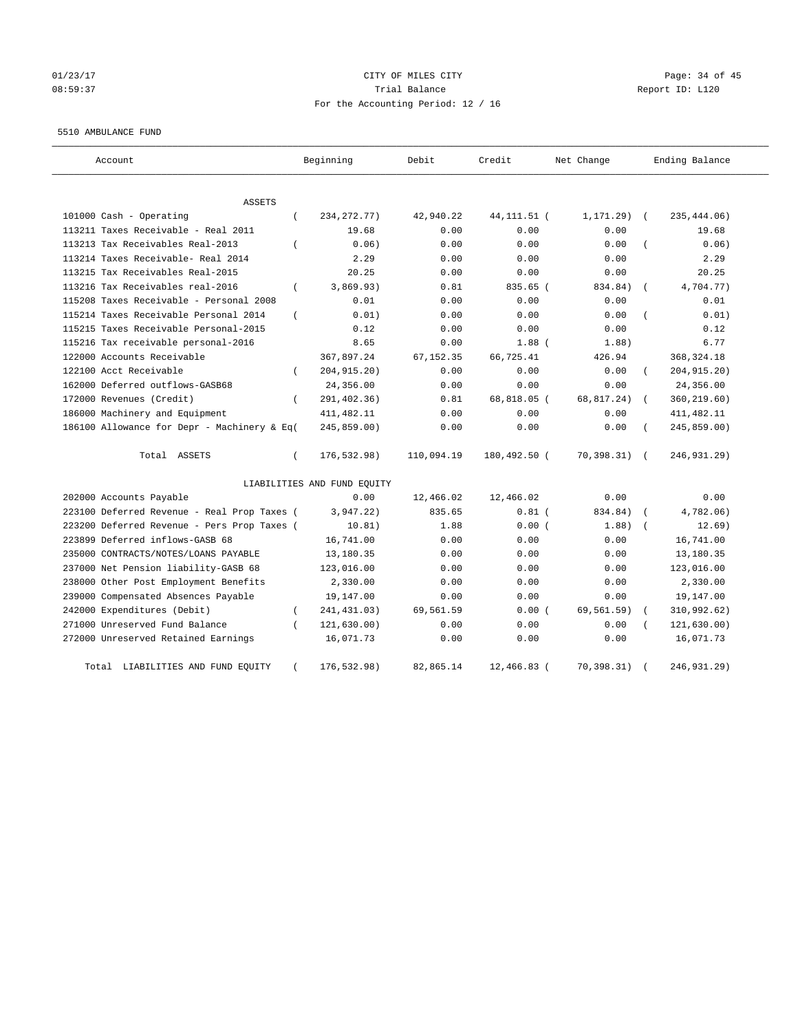# $O1/23/17$  Page: 34 of 45 08:59:37 Trial Balance Report ID: L120 For the Accounting Period: 12 / 16

#### 5510 AMBULANCE FUND

| Account                                           | Beginning                   | Debit      | Credit        | Net Change    | Ending Balance            |
|---------------------------------------------------|-----------------------------|------------|---------------|---------------|---------------------------|
| <b>ASSETS</b>                                     |                             |            |               |               |                           |
| 101000 Cash - Operating<br>$\left($               | 234, 272. 77)               | 42,940.22  | 44, 111. 51 ( | $1, 171.29$ ( | 235, 444.06)              |
| 113211 Taxes Receivable - Real 2011               | 19.68                       | 0.00       | 0.00          | 0.00          | 19.68                     |
| 113213 Tax Receivables Real-2013<br>$\left($      | 0.06)                       | 0.00       | 0.00          | 0.00          | 0.06)                     |
| 113214 Taxes Receivable- Real 2014                | 2.29                        | 0.00       | 0.00          | 0.00          | 2.29                      |
| 113215 Tax Receivables Real-2015                  | 20.25                       | 0.00       | 0.00          | 0.00          | 20.25                     |
| 113216 Tax Receivables real-2016<br>$\left($      | 3,869.93)                   | 0.81       | 835.65 (      | 834.84)       | 4,704.77)<br>$\left($     |
| 115208 Taxes Receivable - Personal 2008           | 0.01                        | 0.00       | 0.00          | 0.00          | 0.01                      |
| 115214 Taxes Receivable Personal 2014<br>$\left($ | 0.01)                       | 0.00       | 0.00          | 0.00          | 0.01)                     |
| 115215 Taxes Receivable Personal-2015             | 0.12                        | 0.00       | 0.00          | 0.00          | 0.12                      |
| 115216 Tax receivable personal-2016               | 8.65                        | 0.00       | $1.88$ (      | 1.88)         | 6.77                      |
| 122000 Accounts Receivable                        | 367,897.24                  | 67, 152.35 | 66,725.41     | 426.94        | 368, 324. 18              |
| 122100 Acct Receivable<br>$\epsilon$              | 204, 915. 20)               | 0.00       | 0.00          | 0.00          | 204, 915.20)              |
| 162000 Deferred outflows-GASB68                   | 24,356.00                   | 0.00       | 0.00          | 0.00          | 24,356.00                 |
| 172000 Revenues (Credit)<br>$\left($              | 291,402.36)                 | 0.81       | 68,818.05 (   | 68,817.24)    | 360,219.60)               |
| 186000 Machinery and Equipment                    | 411, 482.11                 | 0.00       | 0.00          | 0.00          | 411, 482.11               |
| 186100 Allowance for Depr - Machinery & Eq(       | 245,859.00)                 | 0.00       | 0.00          | 0.00          | 245,859.00)               |
| Total ASSETS<br>$\left($                          | 176,532.98)                 | 110,094.19 | 180,492.50 (  | 70, 398.31)   | 246,931.29)<br>$\sqrt{2}$ |
|                                                   | LIABILITIES AND FUND EQUITY |            |               |               |                           |
| 202000 Accounts Payable                           | 0.00                        | 12,466.02  | 12,466.02     | 0.00          | 0.00                      |
| 223100 Deferred Revenue - Real Prop Taxes (       | 3,947.22)                   | 835.65     | $0.81$ (      | 834.84)       | 4,782.06)                 |
| 223200 Deferred Revenue - Pers Prop Taxes (       | 10.81)                      | 1.88       | 0.00(         | 1.88)         | 12.69)                    |
| 223899 Deferred inflows-GASB 68                   | 16,741.00                   | 0.00       | 0.00          | 0.00          | 16,741.00                 |
| 235000 CONTRACTS/NOTES/LOANS PAYABLE              | 13,180.35                   | 0.00       | 0.00          | 0.00          | 13,180.35                 |
| 237000 Net Pension liability-GASB 68              | 123,016.00                  | 0.00       | 0.00          | 0.00          | 123,016.00                |
| 238000 Other Post Employment Benefits             | 2,330.00                    | 0.00       | 0.00          | 0.00          | 2,330.00                  |
| 239000 Compensated Absences Payable               | 19,147.00                   | 0.00       | 0.00          | 0.00          | 19,147.00                 |
| 242000 Expenditures (Debit)<br>$\left($           | 241, 431.03)                | 69,561.59  | 0.00(         | 69,561.59)    | 310,992.62)               |
| 271000 Unreserved Fund Balance<br>$\sqrt{ }$      | 121, 630.00)                | 0.00       | 0.00          | 0.00          | 121, 630.00)              |
| 272000 Unreserved Retained Earnings               | 16,071.73                   | 0.00       | 0.00          | 0.00          | 16,071.73                 |
| Total LIABILITIES AND FUND EQUITY<br>$\left($     | 176,532.98)                 | 82,865.14  | 12,466.83 (   | 70,398.31)    | 246,931.29)               |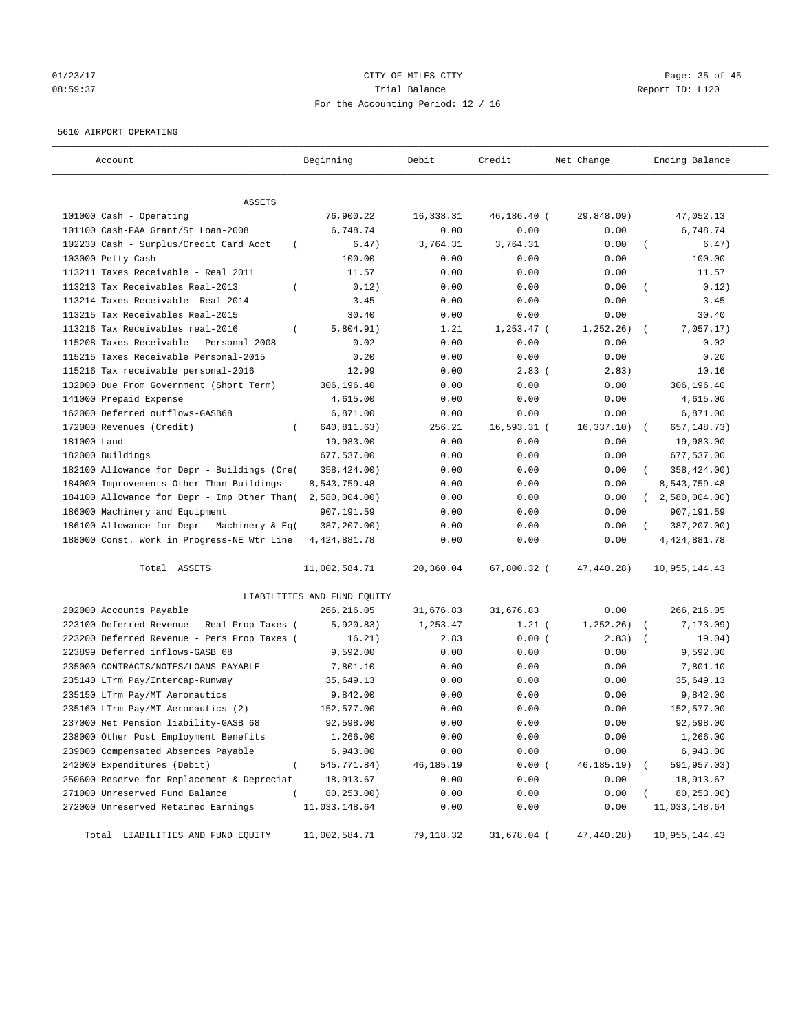# 01/23/17 Page: 35 of 45 08:59:37 Trial Balance Report ID: L120 For the Accounting Period: 12 / 16

## 5610 AIRPORT OPERATING

| Account                                            | Beginning                   | Debit     | Credit       | Net Change | Ending Balance           |
|----------------------------------------------------|-----------------------------|-----------|--------------|------------|--------------------------|
| ASSETS                                             |                             |           |              |            |                          |
| 101000 Cash - Operating                            | 76,900.22                   | 16,338.31 | 46,186.40 (  | 29,848.09) | 47,052.13                |
| 101100 Cash-FAA Grant/St Loan-2008                 | 6,748.74                    | 0.00      | 0.00         | 0.00       | 6,748.74                 |
| 102230 Cash - Surplus/Credit Card Acct<br>$\left($ | 6.47)                       | 3,764.31  | 3,764.31     | 0.00       | 6.47)                    |
| 103000 Petty Cash                                  | 100.00                      | 0.00      | 0.00         | 0.00       | 100.00                   |
| 113211 Taxes Receivable - Real 2011                | 11.57                       | 0.00      | 0.00         | 0.00       | 11.57                    |
| 113213 Tax Receivables Real-2013                   | 0.12)                       | 0.00      | 0.00         | 0.00       | 0.12)                    |
| 113214 Taxes Receivable- Real 2014                 | 3.45                        | 0.00      | 0.00         | 0.00       | 3.45                     |
| 113215 Tax Receivables Real-2015                   | 30.40                       | 0.00      | 0.00         | 0.00       | 30.40                    |
| 113216 Tax Receivables real-2016<br>$\left($       | 5,804.91)                   | 1.21      | $1,253.47$ ( | 1,252.26)  | 7,057.17)                |
| 115208 Taxes Receivable - Personal 2008            | 0.02                        | 0.00      | 0.00         | 0.00       | 0.02                     |
| 115215 Taxes Receivable Personal-2015              | 0.20                        | 0.00      | 0.00         | 0.00       | 0.20                     |
| 115216 Tax receivable personal-2016                | 12.99                       | 0.00      | $2.83$ (     | 2.83)      | 10.16                    |
| 132000 Due From Government (Short Term)            | 306,196.40                  | 0.00      | 0.00         | 0.00       | 306,196.40               |
| 141000 Prepaid Expense                             | 4,615.00                    | 0.00      | 0.00         | 0.00       | 4,615.00                 |
| 162000 Deferred outflows-GASB68                    | 6,871.00                    | 0.00      | 0.00         | 0.00       | 6,871.00                 |
| 172000 Revenues (Credit)                           | 640,811.63)                 | 256.21    | 16,593.31 (  | 16,337.10) | 657, 148.73)<br>$\left($ |
| 181000 Land                                        | 19,983.00                   | 0.00      | 0.00         | 0.00       | 19,983.00                |
| 182000 Buildings                                   | 677,537.00                  | 0.00      | 0.00         | 0.00       | 677,537.00               |
| 182100 Allowance for Depr - Buildings (Cre(        | 358,424.00)                 | 0.00      | 0.00         | 0.00       | 358,424.00)              |
| 184000 Improvements Other Than Buildings           | 8,543,759.48                | 0.00      | 0.00         | 0.00       | 8,543,759.48             |
| 184100 Allowance for Depr - Imp Other Than(        | 2,580,004.00)               | 0.00      | 0.00         | 0.00       | 2,580,004.00             |
| 186000 Machinery and Equipment                     | 907,191.59                  | 0.00      | 0.00         | 0.00       | 907,191.59               |
| 186100 Allowance for Depr - Machinery & Eq(        | 387,207.00)                 | 0.00      | 0.00         | 0.00       | 387,207.00)              |
| 188000 Const. Work in Progress-NE Wtr Line         | 4, 424, 881. 78             | 0.00      | 0.00         | 0.00       | 4, 424, 881.78           |
|                                                    |                             |           |              |            |                          |
| Total ASSETS                                       | 11,002,584.71               | 20,360.04 | 67,800.32 (  | 47,440.28) | 10,955,144.43            |
|                                                    | LIABILITIES AND FUND EQUITY |           |              |            |                          |
| 202000 Accounts Payable                            | 266,216.05                  | 31,676.83 | 31,676.83    | 0.00       | 266,216.05               |
| 223100 Deferred Revenue - Real Prop Taxes (        | 5,920.83)                   | 1,253.47  | $1.21$ (     | 1, 252.26) | 7,173.09)                |
| 223200 Deferred Revenue - Pers Prop Taxes (        | 16.21)                      | 2.83      | 0.00(        | 2.83)      | 19.04)                   |
| 223899 Deferred inflows-GASB 68                    | 9,592.00                    | 0.00      | 0.00         | 0.00       | 9,592.00                 |
| 235000 CONTRACTS/NOTES/LOANS PAYABLE               | 7,801.10                    | 0.00      | 0.00         | 0.00       | 7,801.10                 |
| 235140 LTrm Pay/Intercap-Runway                    | 35,649.13                   | 0.00      | 0.00         | 0.00       | 35,649.13                |
| 235150 LTrm Pay/MT Aeronautics                     | 9,842.00                    | 0.00      | 0.00         | 0.00       | 9,842.00                 |
| 235160 LTrm Pay/MT Aeronautics (2)                 | 152,577.00                  | 0.00      | 0.00         | 0.00       | 152,577.00               |
| 237000 Net Pension liability-GASB 68               | 92,598.00                   | 0.00      | 0.00         | 0.00       | 92,598.00                |
| 238000 Other Post Employment Benefits              | 1,266.00                    | 0.00      | 0.00         | 0.00       | 1,266.00                 |
| 239000 Compensated Absences Payable                | 6,943.00                    | 0.00      | 0.00         | 0.00       | 6,943.00                 |
| 242000 Expenditures (Debit)<br>$\overline{(\ }$    | 545, 771.84)                | 46,185.19 | 0.00(        | 46,185.19) | 591,957.03)              |
| 250600 Reserve for Replacement & Depreciat         | 18,913.67                   | 0.00      | 0.00         | 0.00       | 18,913.67                |
| 271000 Unreserved Fund Balance<br>$\left($         | 80,253.00)                  | 0.00      | 0.00         | 0.00       | 80,253.00)               |
| 272000 Unreserved Retained Earnings                | 11,033,148.64               | 0.00      | 0.00         | 0.00       | 11,033,148.64            |
| Total LIABILITIES AND FUND EQUITY                  | 11,002,584.71               | 79,118.32 | 31,678.04 (  | 47,440.28) | 10,955,144.43            |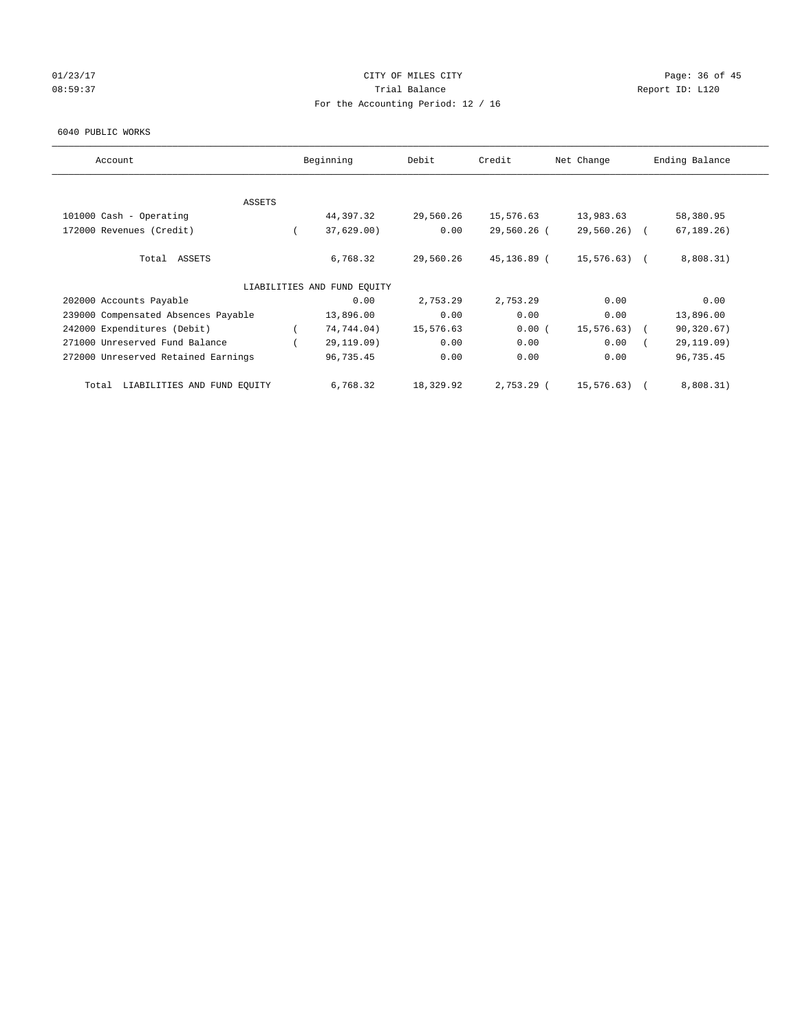## $O1/23/17$  Page: 36 of 45 08:59:37 Trial Balance Report ID: L120 For the Accounting Period: 12 / 16

#### 6040 PUBLIC WORKS

| Account                              | Beginning                   | Debit     | Credit      | Net Change    | Ending Balance |
|--------------------------------------|-----------------------------|-----------|-------------|---------------|----------------|
|                                      |                             |           |             |               |                |
| ASSETS                               |                             |           |             |               |                |
| 101000 Cash - Operating              | 44,397.32                   | 29,560.26 | 15,576.63   | 13,983.63     | 58,380.95      |
| 172000 Revenues (Credit)             | 37,629.00                   | 0.00      | 29,560.26 ( | $29,560.26$ ( | 67, 189.26     |
| Total ASSETS                         | 6,768.32                    | 29,560.26 | 45,136.89 ( | 15,576.63) (  | 8,808.31)      |
|                                      | LIABILITIES AND FUND EQUITY |           |             |               |                |
| 202000 Accounts Payable              | 0.00                        | 2,753.29  | 2,753.29    | 0.00          | 0.00           |
| 239000 Compensated Absences Payable  | 13,896.00                   | 0.00      | 0.00        | 0.00          | 13,896.00      |
| 242000 Expenditures (Debit)          | 74,744.04)                  | 15,576.63 | 0.00(       | 15,576.63) (  | 90, 320.67)    |
| 271000 Unreserved Fund Balance       | 29,119.09)                  | 0.00      | 0.00        | 0.00          | 29,119.09)     |
| 272000 Unreserved Retained Earnings  | 96,735.45                   | 0.00      | 0.00        | 0.00          | 96,735.45      |
| LIABILITIES AND FUND EQUITY<br>Total | 6,768.32                    | 18,329.92 | 2,753.29 (  | 15,576.63)    | 8,808.31)      |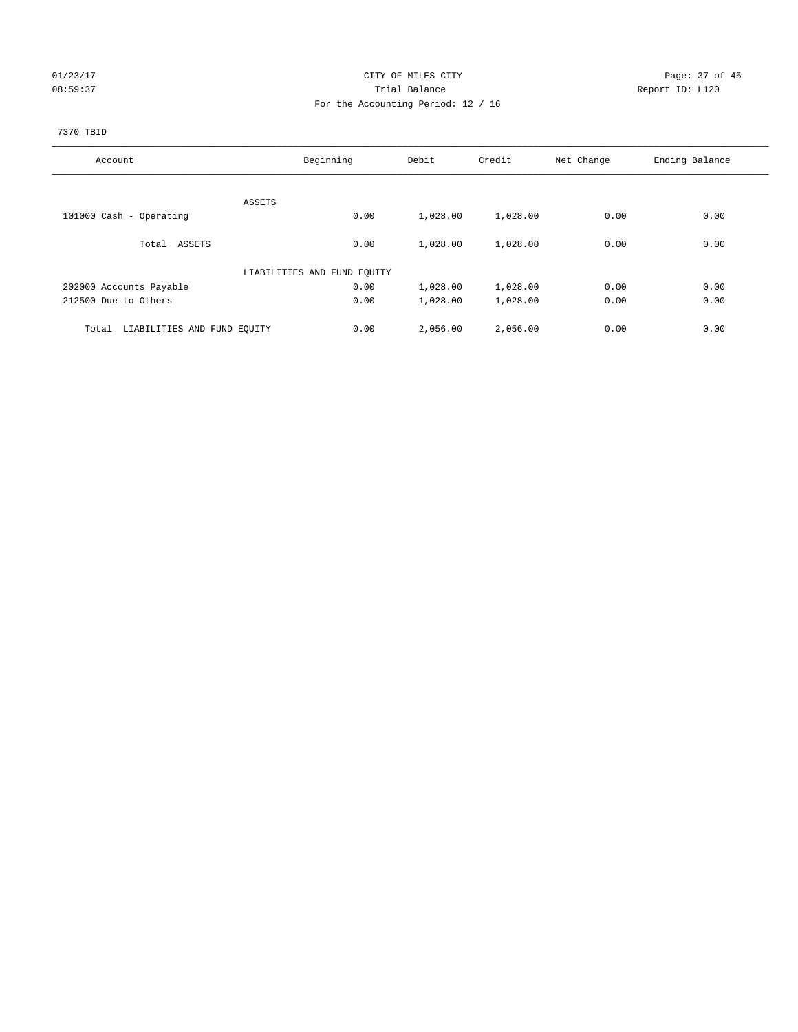## 01/23/17 Page: 37 of 45 08:59:37 CHERRY Trial Balance CHERRY Report ID: L120 For the Accounting Period: 12 / 16

## 7370 TBID

| Account                              | Beginning                   | Debit    | Credit   | Net Change | Ending Balance |
|--------------------------------------|-----------------------------|----------|----------|------------|----------------|
|                                      |                             |          |          |            |                |
|                                      | ASSETS                      |          |          |            |                |
| 101000 Cash - Operating              | 0.00                        | 1,028.00 | 1,028.00 | 0.00       | 0.00           |
| Total ASSETS                         | 0.00                        | 1,028.00 | 1,028.00 | 0.00       | 0.00           |
|                                      | LIABILITIES AND FUND EQUITY |          |          |            |                |
| 202000 Accounts Payable              | 0.00                        | 1,028.00 | 1,028.00 | 0.00       | 0.00           |
| 212500 Due to Others                 | 0.00                        | 1,028.00 | 1,028.00 | 0.00       | 0.00           |
|                                      |                             |          |          |            |                |
| LIABILITIES AND FUND EQUITY<br>Total | 0.00                        | 2,056.00 | 2,056.00 | 0.00       | 0.00           |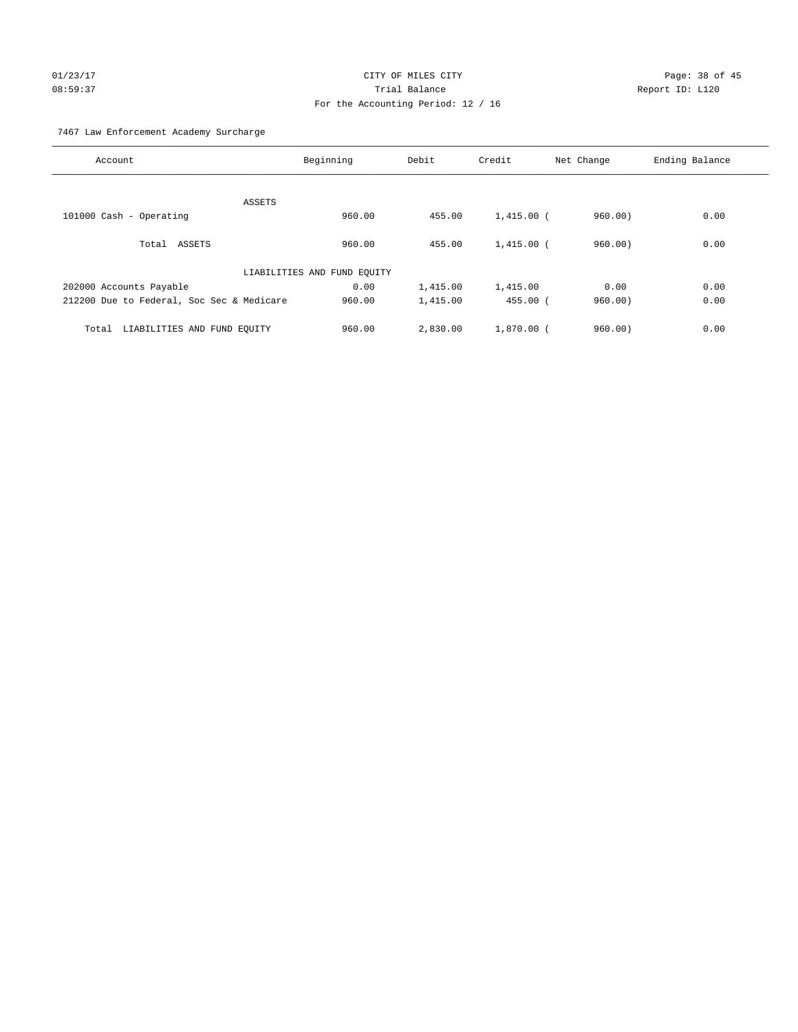# $O1/23/17$  Page: 38 of 45 08:59:37 Trial Balance Report ID: L120 For the Accounting Period: 12 / 16

7467 Law Enforcement Academy Surcharge

| Account                                   | Beginning                   | Debit    | Credit       | Net Change | Ending Balance |
|-------------------------------------------|-----------------------------|----------|--------------|------------|----------------|
|                                           |                             |          |              |            |                |
| ASSETS                                    |                             |          |              |            |                |
| 101000 Cash - Operating                   | 960.00                      | 455.00   | $1,415.00$ ( | 960.00     | 0.00           |
|                                           |                             |          |              |            |                |
| Total ASSETS                              | 960.00                      | 455.00   | $1,415.00$ ( | 960.00     | 0.00           |
|                                           |                             |          |              |            |                |
|                                           | LIABILITIES AND FUND EQUITY |          |              |            |                |
| 202000 Accounts Payable                   | 0.00                        | 1,415.00 | 1,415.00     | 0.00       | 0.00           |
| 212200 Due to Federal, Soc Sec & Medicare | 960.00                      | 1,415.00 | $455.00$ (   | 960.00     | 0.00           |
|                                           |                             |          |              |            |                |
| LIABILITIES AND FUND EQUITY<br>Total      | 960.00                      | 2,830.00 | $1.870.00$ ( | 960.00     | 0.00           |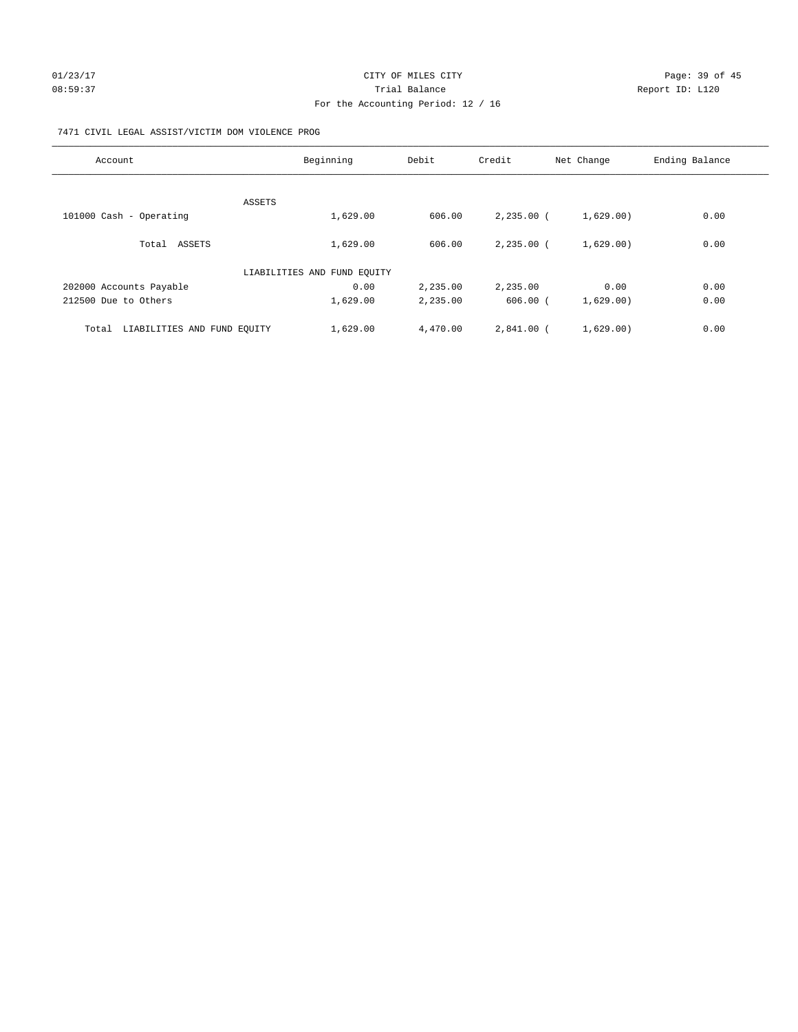# 01/23/17 Page: 39 of 45 08:59:37 Trial Balance Trial Balance Report ID: L120 For the Accounting Period: 12 / 16

## 7471 CIVIL LEGAL ASSIST/VICTIM DOM VIOLENCE PROG

| Account                              | Beginning                   | Debit    | Credit       | Net Change | Ending Balance |
|--------------------------------------|-----------------------------|----------|--------------|------------|----------------|
|                                      |                             |          |              |            |                |
|                                      | ASSETS                      |          |              |            |                |
| 101000 Cash - Operating              | 1,629.00                    | 606.00   | $2,235.00$ ( | 1,629.00)  | 0.00           |
| Total ASSETS                         | 1,629.00                    | 606.00   | $2.235.00$ ( | 1,629.00)  | 0.00           |
|                                      | LIABILITIES AND FUND EQUITY |          |              |            |                |
| 202000 Accounts Payable              | 0.00                        | 2,235.00 | 2,235.00     | 0.00       | 0.00           |
| 212500 Due to Others                 | 1,629.00                    | 2,235.00 | $606.00$ (   | 1,629.00)  | 0.00           |
| Total<br>LIABILITIES AND FUND EQUITY | 1,629.00                    | 4,470.00 | $2,841.00$ ( | 1,629.00)  | 0.00           |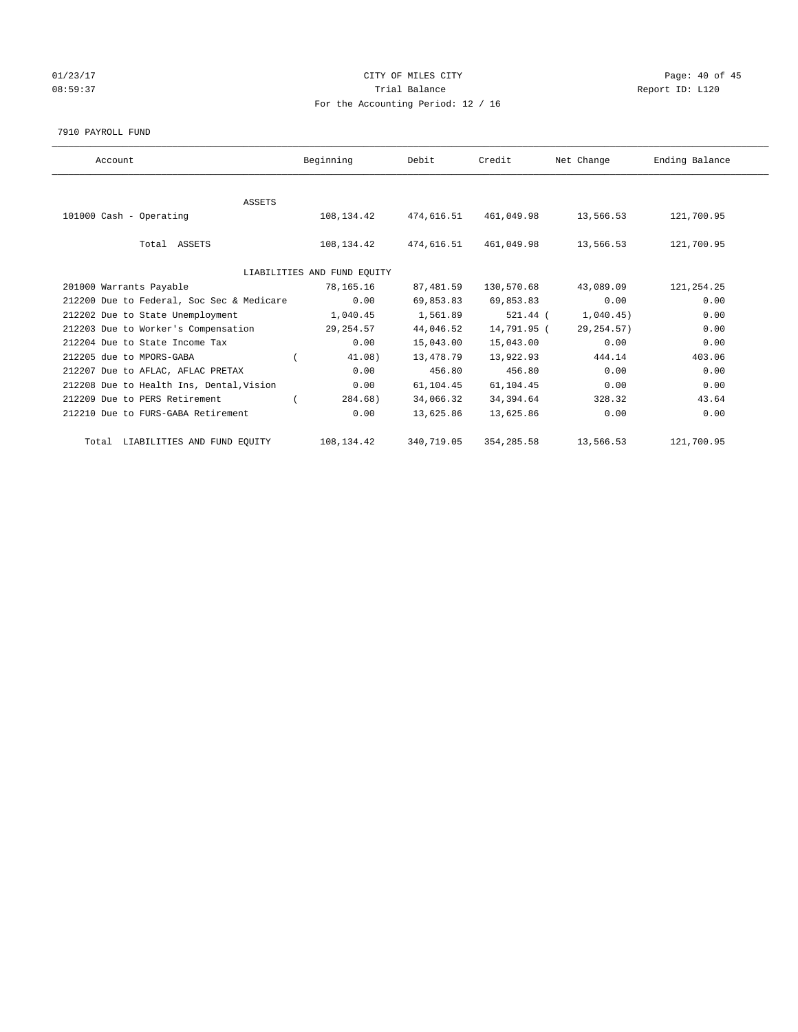## 01/23/17 Page: 40 of 45 08:59:37 Trial Balance Report ID: L120 For the Accounting Period: 12 / 16

#### 7910 PAYROLL FUND

| Account                                   | Beginning                   | Debit      | Credit      | Net Change  | Ending Balance |
|-------------------------------------------|-----------------------------|------------|-------------|-------------|----------------|
|                                           |                             |            |             |             |                |
| <b>ASSETS</b>                             |                             |            |             |             |                |
| 101000 Cash - Operating                   | 108,134.42                  | 474,616.51 | 461,049.98  | 13,566.53   | 121,700.95     |
| Total ASSETS                              | 108,134.42                  | 474,616.51 | 461,049.98  | 13,566.53   | 121,700.95     |
|                                           | LIABILITIES AND FUND EQUITY |            |             |             |                |
| 201000 Warrants Payable                   | 78,165.16                   | 87,481.59  | 130,570.68  | 43,089.09   | 121, 254. 25   |
| 212200 Due to Federal, Soc Sec & Medicare | 0.00                        | 69,853.83  | 69,853.83   | 0.00        | 0.00           |
| 212202 Due to State Unemployment          | 1,040.45                    | 1,561.89   | $521.44$ (  | 1,040.45)   | 0.00           |
| 212203 Due to Worker's Compensation       | 29,254.57                   | 44,046.52  | 14,791.95 ( | 29, 254.57) | 0.00           |
| 212204 Due to State Income Tax            | 0.00                        | 15,043.00  | 15,043.00   | 0.00        | 0.00           |
| 212205 due to MPORS-GABA                  | 41.08)                      | 13,478.79  | 13,922.93   | 444.14      | 403.06         |
| 212207 Due to AFLAC, AFLAC PRETAX         | 0.00                        | 456.80     | 456.80      | 0.00        | 0.00           |
| 212208 Due to Health Ins, Dental, Vision  | 0.00                        | 61,104.45  | 61,104.45   | 0.00        | 0.00           |
| 212209 Due to PERS Retirement             | 284.68)                     | 34,066.32  | 34,394.64   | 328.32      | 43.64          |
| 212210 Due to FURS-GABA Retirement        | 0.00                        | 13,625.86  | 13,625.86   | 0.00        | 0.00           |
| Total LIABILITIES AND FUND EQUITY         | 108,134.42                  | 340,719.05 | 354, 285.58 | 13,566.53   | 121,700.95     |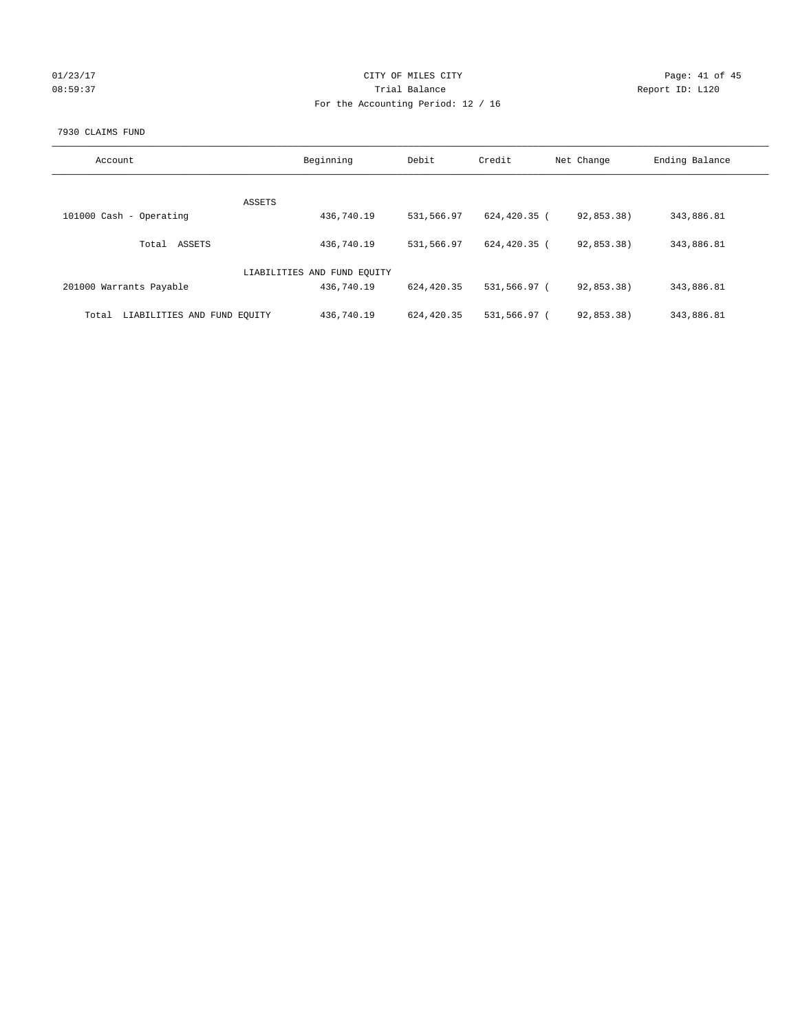| U1/23/1 |  |
|---------|--|
| 8:<br>ſ |  |

## CITY OF MILES CITY CONTROL CONTROL CITY CONTROL Page: 41 of 45 08:59:37 Trial Balance Report ID: L120 For the Accounting Period: 12 / 16

#### 7930 CLAIMS FUND

| Account                              | Beginning                   | Debit      | Credit       | Net Change | Ending Balance |
|--------------------------------------|-----------------------------|------------|--------------|------------|----------------|
| ASSETS                               |                             |            |              |            |                |
| 101000 Cash - Operating              | 436,740.19                  | 531,566.97 | 624,420.35 ( | 92,853.38) | 343,886.81     |
| ASSETS<br>Total                      | 436,740.19                  | 531,566.97 | 624,420.35 ( | 92,853.38) | 343,886.81     |
|                                      | LIABILITIES AND FUND EQUITY |            |              |            |                |
| 201000 Warrants Payable              | 436,740.19                  | 624,420.35 | 531,566.97 ( | 92,853.38) | 343,886.81     |
| LIABILITIES AND FUND EQUITY<br>Total | 436,740.19                  | 624,420.35 | 531,566.97 ( | 92,853.38) | 343,886.81     |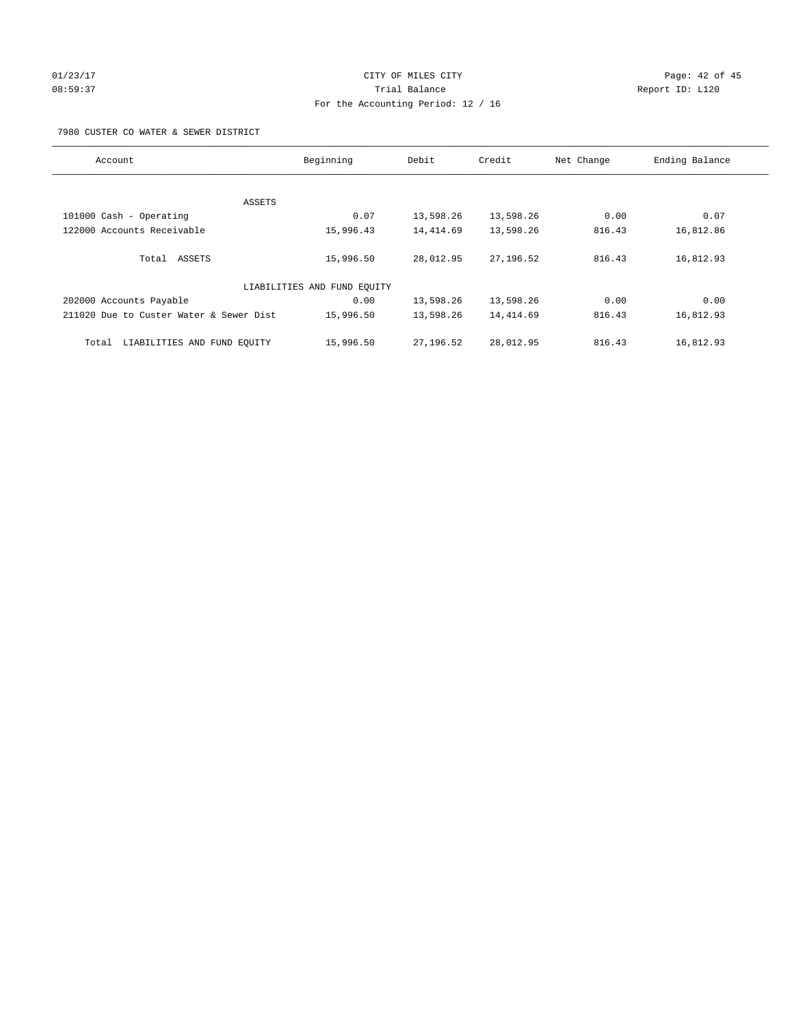# $O1/23/17$  Page: 42 of 45 08:59:37 Trial Balance Report ID: L120 For the Accounting Period: 12 / 16

7980 CUSTER CO WATER & SEWER DISTRICT

| Account                                 | Beginning                   | Debit     | Credit    | Net Change | Ending Balance |
|-----------------------------------------|-----------------------------|-----------|-----------|------------|----------------|
|                                         |                             |           |           |            |                |
| ASSETS                                  |                             |           |           |            |                |
| 101000 Cash - Operating                 | 0.07                        | 13,598.26 | 13,598.26 | 0.00       | 0.07           |
| 122000 Accounts Receivable              | 15,996.43                   | 14,414.69 | 13,598.26 | 816.43     | 16,812.86      |
| Total ASSETS                            | 15,996.50                   | 28,012.95 | 27,196.52 | 816.43     | 16,812.93      |
|                                         | LIABILITIES AND FUND EQUITY |           |           |            |                |
| 202000 Accounts Payable                 | 0.00                        | 13,598.26 | 13,598.26 | 0.00       | 0.00           |
| 211020 Due to Custer Water & Sewer Dist | 15,996.50                   | 13,598.26 | 14,414.69 | 816.43     | 16,812.93      |
| LIABILITIES AND FUND EQUITY<br>Total    | 15,996.50                   | 27,196.52 | 28,012.95 | 816.43     | 16,812.93      |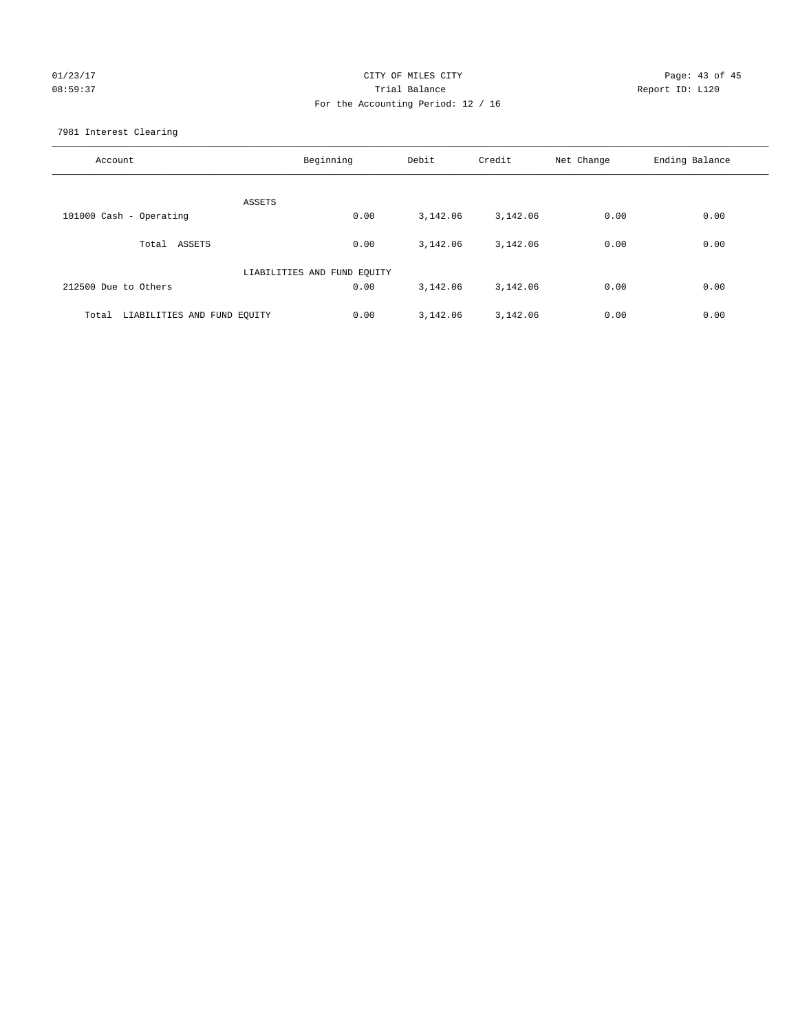## 01/23/17 Page: 43 of 45 08:59:37 Trial Balance Report ID: L120 For the Accounting Period: 12 / 16

7981 Interest Clearing

| Account                           | Beginning                   | Debit    | Credit   | Net Change | Ending Balance |
|-----------------------------------|-----------------------------|----------|----------|------------|----------------|
|                                   | ASSETS                      |          |          |            |                |
| 101000 Cash - Operating           | 0.00                        | 3,142.06 | 3,142.06 | 0.00       | 0.00           |
| Total ASSETS                      | 0.00                        | 3,142.06 | 3,142.06 | 0.00       | 0.00           |
|                                   | LIABILITIES AND FUND EQUITY |          |          |            |                |
| 212500 Due to Others              | 0.00                        | 3,142.06 | 3,142.06 | 0.00       | 0.00           |
| Total LIABILITIES AND FUND EQUITY | 0.00                        | 3,142.06 | 3,142.06 | 0.00       | 0.00           |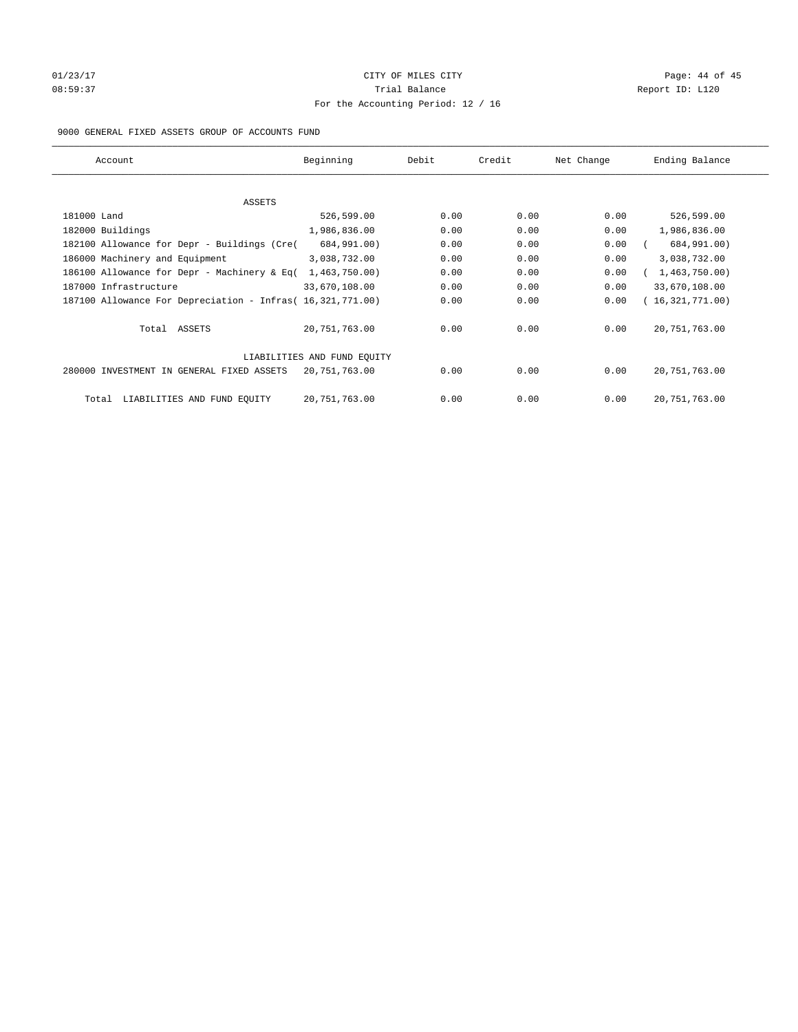# $O1/23/17$  Page: 44 of 45 08:59:37 Trial Balance Report ID: L120 For the Accounting Period: 12 / 16

## 9000 GENERAL FIXED ASSETS GROUP OF ACCOUNTS FUND

| Account                                                    | Beginning                   | Debit | Credit | Net Change | Ending Balance  |
|------------------------------------------------------------|-----------------------------|-------|--------|------------|-----------------|
| ASSETS                                                     |                             |       |        |            |                 |
| 181000 Land                                                | 526,599.00                  | 0.00  | 0.00   | 0.00       | 526,599.00      |
| 182000 Buildings                                           | 1,986,836.00                | 0.00  | 0.00   | 0.00       | 1,986,836.00    |
| 182100 Allowance for Depr - Buildings (Cre(                | 684,991.00)                 | 0.00  | 0.00   | 0.00       | 684,991.00)     |
| 186000 Machinery and Equipment                             | 3,038,732.00                | 0.00  | 0.00   | 0.00       | 3,038,732.00    |
| 186100 Allowance for Depr - Machinery & Eq(                | 1,463,750.00)               | 0.00  | 0.00   | 0.00       | 1,463,750.00)   |
| 187000 Infrastructure                                      | 33,670,108.00               | 0.00  | 0.00   | 0.00       | 33,670,108.00   |
| 187100 Allowance For Depreciation - Infras( 16,321,771.00) |                             | 0.00  | 0.00   | 0.00       | 16,321,771.00)  |
| Total ASSETS                                               | 20,751,763.00               | 0.00  | 0.00   | 0.00       | 20, 751, 763.00 |
|                                                            | LIABILITIES AND FUND EQUITY |       |        |            |                 |
| 280000 INVESTMENT IN GENERAL FIXED ASSETS                  | 20,751,763.00               | 0.00  | 0.00   | 0.00       | 20, 751, 763.00 |
| LIABILITIES AND FUND EQUITY<br>Total                       | 20, 751, 763.00             | 0.00  | 0.00   | 0.00       | 20, 751, 763.00 |